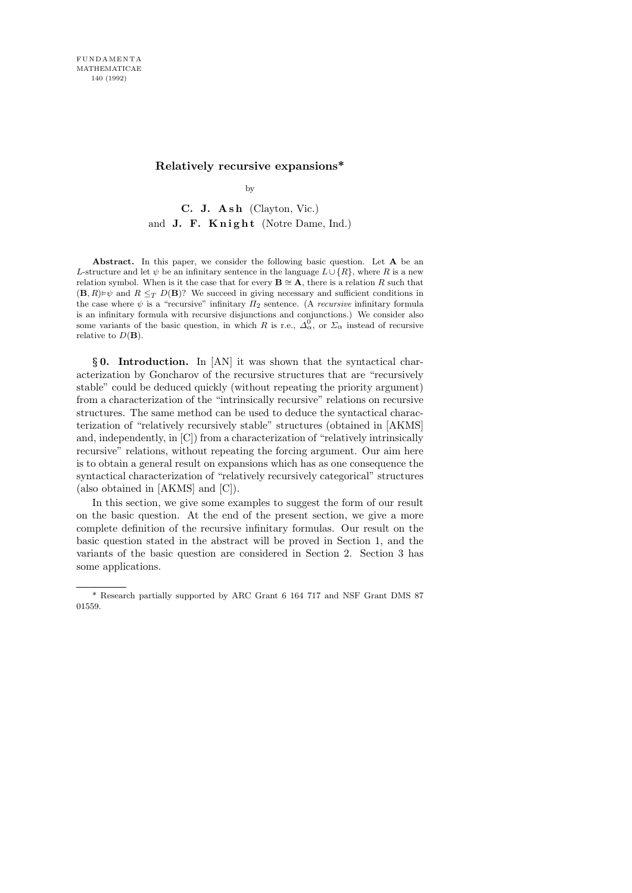## Relatively recursive expansions\*

by

C. J. Ash (Clayton, Vic.) and J. F. Knight (Notre Dame, Ind.)

Abstract. In this paper, we consider the following basic question. Let A be an L-structure and let  $\psi$  be an infinitary sentence in the language  $L\cup\{R\}$ , where R is a new relation symbol. When is it the case that for every  $\mathbf{B} \cong \mathbf{A}$ , there is a relation R such that  $(\mathbf{B}, R) \models \psi$  and  $R \leq_T D(\mathbf{B})$ ? We succeed in giving necessary and sufficient conditions in the case where  $\psi$  is a "recursive" infinitary  $\Pi_2$  sentence. (A *recursive* infinitary formula is an infinitary formula with recursive disjunctions and conjunctions.) We consider also some variants of the basic question, in which R is r.e.,  $\Delta_{\alpha}^{0}$ , or  $\Sigma_{\alpha}$  instead of recursive relative to  $D(\mathbf{B})$ .

§ 0. Introduction. In [AN] it was shown that the syntactical characterization by Goncharov of the recursive structures that are "recursively stable" could be deduced quickly (without repeating the priority argument) from a characterization of the "intrinsically recursive" relations on recursive structures. The same method can be used to deduce the syntactical characterization of "relatively recursively stable" structures (obtained in [AKMS] and, independently, in [C]) from a characterization of "relatively intrinsically recursive" relations, without repeating the forcing argument. Our aim here is to obtain a general result on expansions which has as one consequence the syntactical characterization of "relatively recursively categorical" structures (also obtained in [AKMS] and [C]).

In this section, we give some examples to suggest the form of our result on the basic question. At the end of the present section, we give a more complete definition of the recursive infinitary formulas. Our result on the basic question stated in the abstract will be proved in Section 1, and the variants of the basic question are considered in Section 2. Section 3 has some applications.

<sup>\*</sup> Research partially supported by ARC Grant 6 164 717 and NSF Grant DMS 87 01559.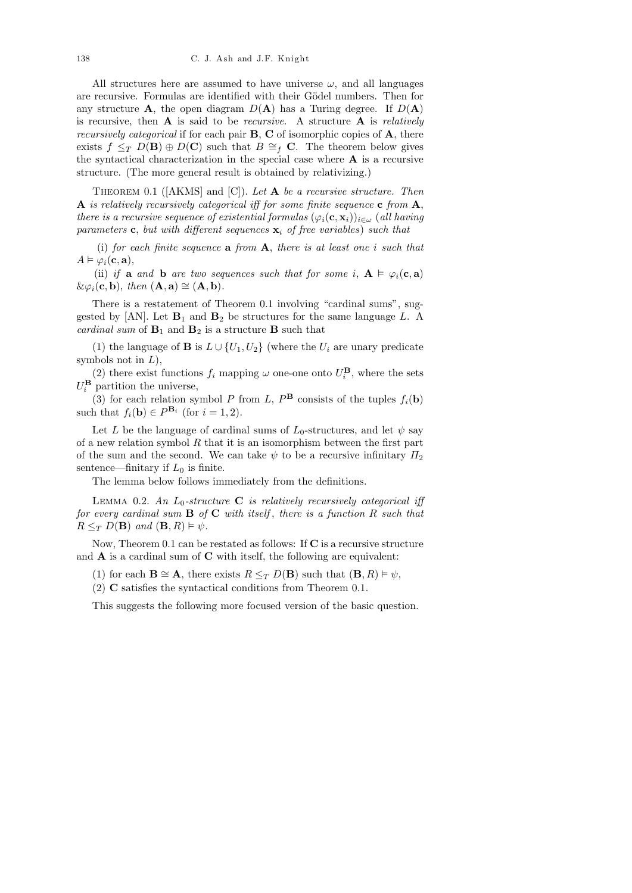All structures here are assumed to have universe  $\omega$ , and all languages are recursive. Formulas are identified with their Gödel numbers. Then for any structure **A**, the open diagram  $D(A)$  has a Turing degree. If  $D(A)$ is recursive, then  $A$  is said to be *recursive*. A structure  $A$  is *relatively* recursively categorical if for each pair B, C of isomorphic copies of A, there exists  $f \leq_T D(\mathbf{B}) \oplus D(\mathbf{C})$  such that  $B \cong_f \mathbf{C}$ . The theorem below gives the syntactical characterization in the special case where  $A$  is a recursive structure. (The more general result is obtained by relativizing.)

THEOREM 0.1 ( $[AKMS]$  and  $[C]$ ). Let **A** be a recursive structure. Then **A** is relatively recursively categorical iff for some finite sequence **c** from  $A$ , there is a recursive sequence of existential formulas  $(\varphi_i(\mathbf{c}, \mathbf{x}_i))_{i \in \omega}$  (all having parameters c, but with different sequences  $\mathbf{x}_i$  of free variables) such that

(i) for each finite sequence  $a$  from  $A$ , there is at least one i such that  $A \vDash \varphi_i(\mathbf{c}, \mathbf{a}),$ 

(ii) if a and b are two sequences such that for some i,  $A \vDash \varphi_i(c, a)$  $\&\varphi_i(\mathbf{c}, \mathbf{b}), \text{ then } (\mathbf{A}, \mathbf{a}) \cong (\mathbf{A}, \mathbf{b}).$ 

There is a restatement of Theorem 0.1 involving "cardinal sums", suggested by [AN]. Let  $B_1$  and  $B_2$  be structures for the same language L. A cardinal sum of  $B_1$  and  $B_2$  is a structure **B** such that

(1) the language of **B** is  $L \cup \{U_1, U_2\}$  (where the  $U_i$  are unary predicate symbols not in  $L$ ),

(2) there exist functions  $f_i$  mapping  $\omega$  one-one onto  $U_i^{\mathbf{B}}$ , where the sets  $U_i^{\mathbf{B}}$  partition the universe,

(3) for each relation symbol P from L,  $P^{\mathbf{B}}$  consists of the tuples  $f_i(\mathbf{b})$ such that  $f_i(\mathbf{b}) \in P^{\mathbf{B}_i}$  (for  $i = 1, 2$ ).

Let L be the language of cardinal sums of  $L_0$ -structures, and let  $\psi$  say of a new relation symbol  $R$  that it is an isomorphism between the first part of the sum and the second. We can take  $\psi$  to be a recursive infinitary  $\Pi_2$ sentence—finitary if  $L_0$  is finite.

The lemma below follows immediately from the definitions.

LEMMA 0.2. An  $L_0$ -structure **C** is relatively recursively categorical iff for every cardinal sum  $\bf{B}$  of  $\bf{C}$  with itself, there is a function  $R$  such that  $R \leq_T D(\mathbf{B})$  and  $(\mathbf{B}, R) \models \psi$ .

Now, Theorem 0.1 can be restated as follows: If C is a recursive structure and  $A$  is a cardinal sum of  $C$  with itself, the following are equivalent:

- (1) for each  $\mathbf{B} \cong \mathbf{A}$ , there exists  $R \leq_T D(\mathbf{B})$  such that  $(\mathbf{B}, R) \models \psi$ ,
- (2) C satisfies the syntactical conditions from Theorem 0.1.

This suggests the following more focused version of the basic question.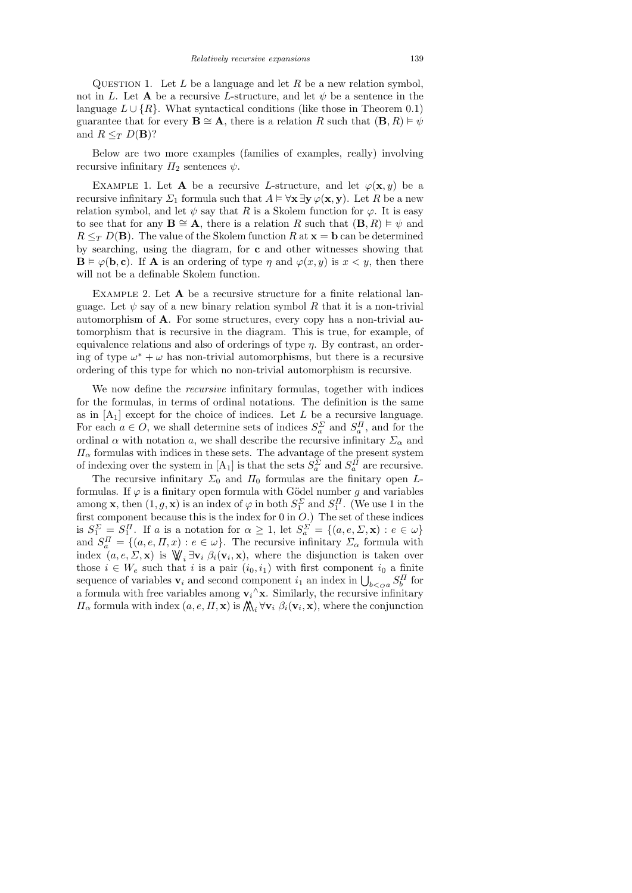QUESTION 1. Let  $L$  be a language and let  $R$  be a new relation symbol, not in L. Let **A** be a recursive L-structure, and let  $\psi$  be a sentence in the language  $L \cup \{R\}$ . What syntactical conditions (like those in Theorem 0.1) guarantee that for every  $\mathbf{B} \cong \mathbf{A}$ , there is a relation R such that  $(\mathbf{B}, R) \models \psi$ and  $R \leq_T D(\mathbf{B})$ ?

Below are two more examples (families of examples, really) involving recursive infinitary  $\Pi_2$  sentences  $\psi$ .

EXAMPLE 1. Let **A** be a recursive L-structure, and let  $\varphi(\mathbf{x}, y)$  be a recursive infinitary  $\Sigma_1$  formula such that  $A \models \forall \mathbf{x} \exists \mathbf{y} \varphi(\mathbf{x}, \mathbf{y})$ . Let R be a new relation symbol, and let  $\psi$  say that R is a Skolem function for  $\varphi$ . It is easy to see that for any  $\mathbf{B} \cong \mathbf{A}$ , there is a relation R such that  $(\mathbf{B}, R) \models \psi$  and  $R \leq_T D(\mathbf{B})$ . The value of the Skolem function R at  $\mathbf{x} = \mathbf{b}$  can be determined by searching, using the diagram, for c and other witnesses showing that  $\mathbf{B} \models \varphi(\mathbf{b}, \mathbf{c})$ . If **A** is an ordering of type  $\eta$  and  $\varphi(x, y)$  is  $x \leq y$ , then there will not be a definable Skolem function.

EXAMPLE 2. Let  $A$  be a recursive structure for a finite relational language. Let  $\psi$  say of a new binary relation symbol R that it is a non-trivial automorphism of A. For some structures, every copy has a non-trivial automorphism that is recursive in the diagram. This is true, for example, of equivalence relations and also of orderings of type  $\eta$ . By contrast, an ordering of type  $\omega^* + \omega$  has non-trivial automorphisms, but there is a recursive ordering of this type for which no non-trivial automorphism is recursive.

We now define the *recursive* infinitary formulas, together with indices for the formulas, in terms of ordinal notations. The definition is the same as in  $[A_1]$  except for the choice of indices. Let L be a recursive language. For each  $a \in O$ , we shall determine sets of indices  $S_a^{\Sigma}$  and  $S_a^{\Pi}$ , and for the ordinal  $\alpha$  with notation a, we shall describe the recursive infinitary  $\Sigma_{\alpha}$  and  $\Pi_{\alpha}$  formulas with indices in these sets. The advantage of the present system of indexing over the system in  $[A_1]$  is that the sets  $S_a^{\Sigma}$  and  $S_a^{\Pi}$  are recursive.

The recursive infinitary  $\Sigma_0$  and  $\Pi_0$  formulas are the finitary open Lformulas. If  $\varphi$  is a finitary open formula with Gödel number g and variables among **x**, then  $(1, g, \mathbf{x})$  is an index of  $\varphi$  in both  $S_1^{\Sigma}$  and  $S_1^{\Pi}$ . (We use 1 in the first component because this is the index for  $0$  in  $O$ .) The set of these indices is  $S_1^{\Sigma} = S_1^{\Pi}$ . If a is a notation for  $\alpha \geq 1$ , let  $S_a^{\Sigma} = \{(a, e, \Sigma, \mathbf{x}) : e \in \omega\}$ and  $S_a^{\Pi} = \{(a, e, \Pi, x) : e \in \omega\}$ . The recursive infinitary  $\Sigma_{\alpha}$  formula with index  $(a, e, \Sigma, \mathbf{x})$  is  $\mathbb{W}_i \exists \mathbf{v}_i \; \beta_i(\mathbf{v}_i, \mathbf{x})$ , where the disjunction is taken over those  $i \in W_e$  such that i is a pair  $(i_0, i_1)$  with first component  $i_0$  a finite sequence of variables  $\mathbf{v}_i$  and second component  $i_1$  an index in  $\bigcup_{b <_Q a} S_b^{\Pi}$  for a formula with free variables among  $\mathbf{v}_i^{\wedge} \mathbf{x}$ . Similarly, the recursive infinitary  $\Pi_{\alpha}$  formula with index  $(a, e, \Pi, \mathbf{x})$  is  $\mathcal{N}_{i} \forall \mathbf{v}_{i} \ \beta_{i}(\mathbf{v}_{i}, \mathbf{x})$ , where the conjunction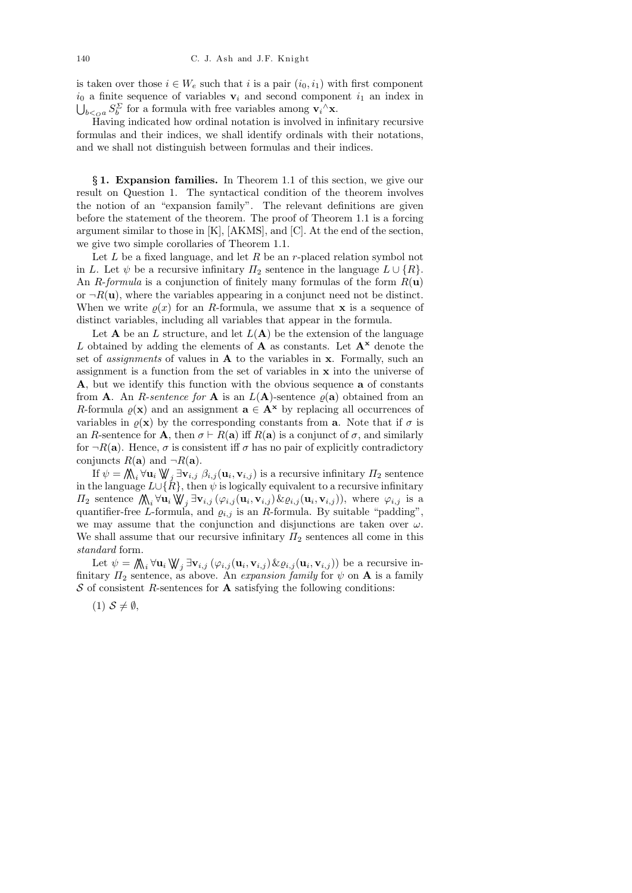is taken over those  $i \in W_e$  such that i is a pair  $(i_0, i_1)$  with first component  $i_0$  a finite sequence of variables  $v_i$  and second component  $i_1$  an index in  $\bigcup_{b \leq a} S_b^{\Sigma}$  for a formula with free variables among  $\mathbf{v}_i^{\wedge} \mathbf{x}$ .

Having indicated how ordinal notation is involved in infinitary recursive formulas and their indices, we shall identify ordinals with their notations, and we shall not distinguish between formulas and their indices.

§ 1. Expansion families. In Theorem 1.1 of this section, we give our result on Question 1. The syntactical condition of the theorem involves the notion of an "expansion family". The relevant definitions are given before the statement of the theorem. The proof of Theorem 1.1 is a forcing argument similar to those in [K], [AKMS], and [C]. At the end of the section, we give two simple corollaries of Theorem 1.1.

Let  $L$  be a fixed language, and let  $R$  be an r-placed relation symbol not in L. Let  $\psi$  be a recursive infinitary  $\Pi_2$  sentence in the language  $L \cup \{R\}$ . An R-formula is a conjunction of finitely many formulas of the form  $R(\mathbf{u})$ or  $\neg R(\mathbf{u})$ , where the variables appearing in a conjunct need not be distinct. When we write  $\rho(x)$  for an R-formula, we assume that **x** is a sequence of distinct variables, including all variables that appear in the formula.

Let **A** be an L structure, and let  $L(A)$  be the extension of the language L obtained by adding the elements of **A** as constants. Let  $A^x$  denote the set of *assignments* of values in  $A$  to the variables in  $x$ . Formally, such an assignment is a function from the set of variables in x into the universe of A, but we identify this function with the obvious sequence a of constants from **A**. An *R*-sentence for **A** is an  $L(A)$ -sentence  $\varrho(a)$  obtained from an R-formula  $\varrho(\mathbf{x})$  and an assignment  $\mathbf{a} \in \mathbf{A}^{\mathbf{x}}$  by replacing all occurrences of variables in  $\rho(\mathbf{x})$  by the corresponding constants from **a**. Note that if  $\sigma$  is an R-sentence for **A**, then  $\sigma \vdash R(\mathbf{a})$  iff  $R(\mathbf{a})$  is a conjunct of  $\sigma$ , and similarly for  $\neg R(\mathbf{a})$ . Hence,  $\sigma$  is consistent iff  $\sigma$  has no pair of explicitly contradictory conjuncts  $R(\mathbf{a})$  and  $\neg R(\mathbf{a})$ .

If  $\psi = \bigwedge_i \forall \mathbf{u}_i \bigvee \emptyset_j \exists \mathbf{v}_{i,j} \; \beta_{i,j}(\mathbf{u}_i, \mathbf{v}_{i,j})$  is a recursive infinitary  $\Pi_2$  sentence in the language  $L\cup \{R\}$ , then  $\psi$  is logically equivalent to a recursive infinitary  $\Pi_2$  sentence  $\bigwedge_i \forall \mathbf{u}_i \bigvee \emptyset_j \exists \mathbf{v}_{i,j} (\varphi_{i,j}(\mathbf{u}_i, \mathbf{v}_{i,j}) \& \varrho_{i,j}(\mathbf{u}_i, \mathbf{v}_{i,j}))$ , where  $\varphi_{i,j}$  is a quantifier-free L-formula, and  $\varrho_{i,j}$  is an R-formula. By suitable "padding", we may assume that the conjunction and disjunctions are taken over  $\omega$ . We shall assume that our recursive infinitary  $\Pi_2$  sentences all come in this standard form.

Let  $\psi = \bigwedge_i \forall \mathbf{u}_i \bigvee \emptyset_j \exists \mathbf{v}_{i,j} (\varphi_{i,j}(\mathbf{u}_i, \mathbf{v}_{i,j}) \& \varrho_{i,j}(\mathbf{u}_i, \mathbf{v}_{i,j}))$  be a recursive infinitary  $\Pi_2$  sentence, as above. An expansion family for  $\psi$  on **A** is a family  $S$  of consistent R-sentences for **A** satisfying the following conditions:

 $(1)$   $S \neq \emptyset$ ,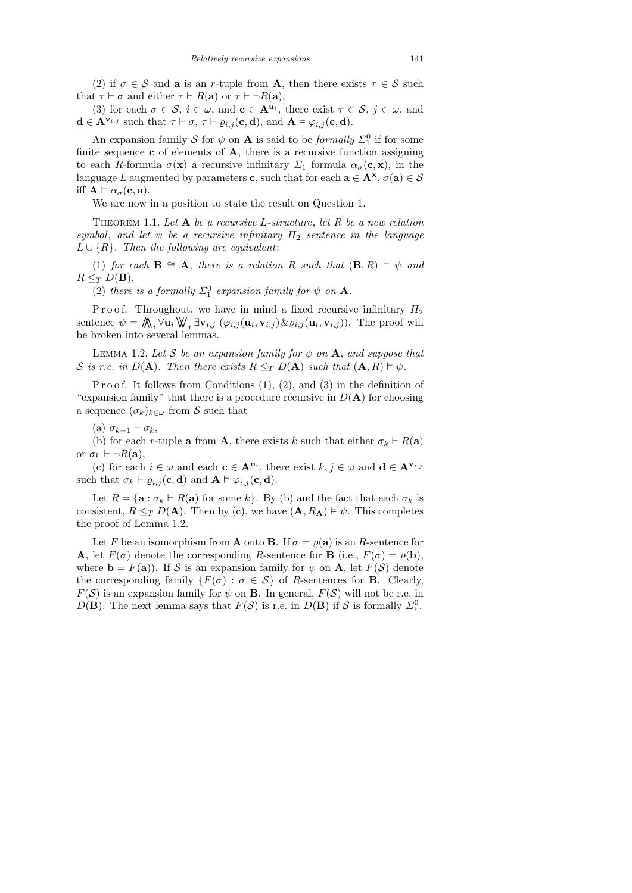(2) if  $\sigma \in \mathcal{S}$  and **a** is an r-tuple from **A**, then there exists  $\tau \in \mathcal{S}$  such that  $\tau \vdash \sigma$  and either  $\tau \vdash R(\mathbf{a})$  or  $\tau \vdash \neg R(\mathbf{a}),$ 

(3) for each  $\sigma \in \mathcal{S}, i \in \omega$ , and  $\mathbf{c} \in \mathbf{A}^{\mathbf{u}_i}$ , there exist  $\tau \in \mathcal{S}, j \in \omega$ , and  $\mathbf{d} \in \mathbf{A}^{\mathbf{v}_{i,j}}$  such that  $\tau \vdash \sigma, \tau \vdash \varrho_{i,j}(\mathbf{c}, \mathbf{d}),$  and  $\mathbf{A} \models \varphi_{i,j}(\mathbf{c}, \mathbf{d}).$ 

An expansion family S for  $\psi$  on A is said to be *formally*  $\Sigma_1^0$  if for some finite sequence  $\bf{c}$  of elements of  $\bf{A}$ , there is a recursive function assigning to each R-formula  $\sigma(\mathbf{x})$  a recursive infinitary  $\Sigma_1$  formula  $\alpha_{\sigma}(\mathbf{c}, \mathbf{x})$ , in the language L augmented by parameters c, such that for each  $\mathbf{a} \in \mathbf{A}^{\mathbf{x}}, \sigma(\mathbf{a}) \in \mathcal{S}$ iff  $\mathbf{A} \models \alpha_{\sigma}(\mathbf{c}, \mathbf{a}).$ 

We are now in a position to state the result on Question 1.

THEOREM 1.1. Let  $A$  be a recursive L-structure, let  $R$  be a new relation symbol, and let  $\psi$  be a recursive infinitary  $\Pi_2$  sentence in the language  $L \cup \{R\}$ . Then the following are equivalent:

(1) for each  $\mathbf{B} \cong \mathbf{A}$ , there is a relation R such that  $(\mathbf{B}, R) \models \psi$  and  $R \leq_T D(\mathbf{B}),$ 

(2) there is a formally  $\Sigma^0_1$  expansion family for  $\psi$  on **A**.

P r o o f. Throughout, we have in mind a fixed recursive infinitary  $\Pi_2$ sentence  $\psi = \bigwedge_i \forall \mathbf{u}_i \bigvee \{ \exists \mathbf{v}_{i,j} \left( \varphi_{i,j}(\mathbf{u}_i, \mathbf{v}_{i,j}) \& \varrho_{i,j}(\mathbf{u}_i, \mathbf{v}_{i,j}) \right)$ . The proof will be broken into several lemmas.

LEMMA 1.2. Let S be an expansion family for  $\psi$  on  $A$ , and suppose that S is r.e. in  $D(\mathbf{A})$ . Then there exists  $R \leq_T D(\mathbf{A})$  such that  $(\mathbf{A}, R) \models \psi$ .

Proof. It follows from Conditions  $(1)$ ,  $(2)$ , and  $(3)$  in the definition of "expansion family" that there is a procedure recursive in  $D(\mathbf{A})$  for choosing a sequence  $(\sigma_k)_{k\in\omega}$  from S such that

(a)  $\sigma_{k+1} \vdash \sigma_k$ ,

(b) for each r-tuple **a** from **A**, there exists k such that either  $\sigma_k \vdash R(\mathbf{a})$ or  $\sigma_k \vdash \neg R(\mathbf{a}),$ 

(c) for each  $i \in \omega$  and each  $c \in A^{u_i}$ , there exist  $k, j \in \omega$  and  $d \in A^{v_{i,j}}$ such that  $\sigma_k \vdash \varrho_{i,j} (\mathbf{c}, \mathbf{d})$  and  $\mathbf{A} \vDash \varphi_{i,j} (\mathbf{c}, \mathbf{d}).$ 

Let  $R = \{a : \sigma_k \vdash R(a) \text{ for some } k\}$ . By (b) and the fact that each  $\sigma_k$  is consistent,  $R \leq_T D(\mathbf{A})$ . Then by (c), we have  $(\mathbf{A}, R_{\mathbf{A}}) \models \psi$ . This completes the proof of Lemma 1.2.

Let F be an isomorphism from **A** onto **B**. If  $\sigma = \varrho(\mathbf{a})$  is an R-sentence for **A**, let  $F(\sigma)$  denote the corresponding R-sentence for **B** (i.e.,  $F(\sigma) = \rho(\mathbf{b})$ ), where  $\mathbf{b} = F(\mathbf{a})$ . If S is an expansion family for  $\psi$  on A, let  $F(\mathcal{S})$  denote the corresponding family  $\{F(\sigma) : \sigma \in \mathcal{S}\}\$  of R-sentences for **B**. Clearly,  $F(S)$  is an expansion family for  $\psi$  on **B**. In general,  $F(S)$  will not be r.e. in  $D(\mathbf{B})$ . The next lemma says that  $F(\mathcal{S})$  is r.e. in  $D(\mathbf{B})$  if  $\mathcal{S}$  is formally  $\Sigma_1^0$ .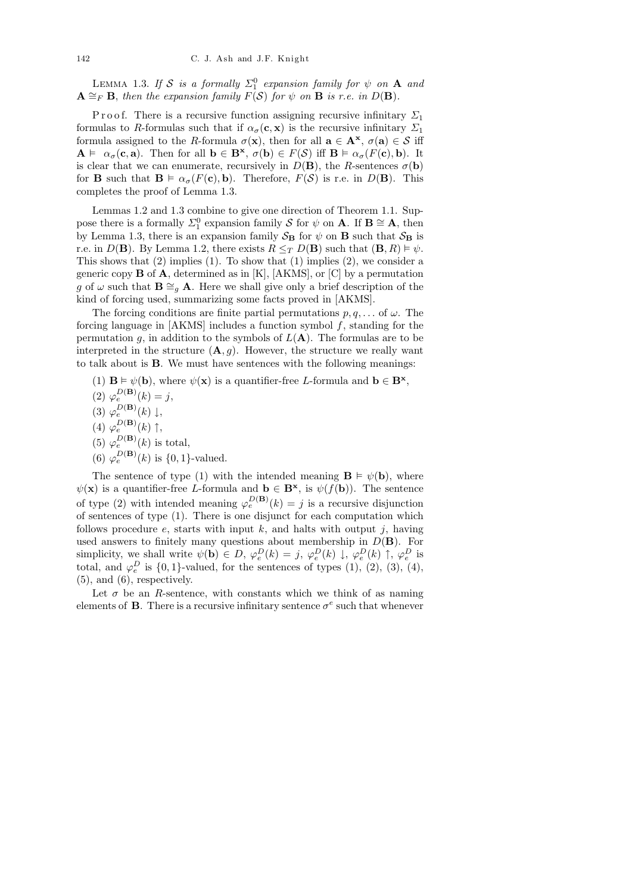LEMMA 1.3. If S is a formally  $\Sigma_1^0$  expansion family for  $\psi$  on  $\mathbf A$  and  $A \cong_F B$ , then the expansion family  $F(S)$  for  $\psi$  on  $B$  is r.e. in  $D(B)$ .

P r o o f. There is a recursive function assigning recursive infinitary  $\Sigma_1$ formulas to R-formulas such that if  $\alpha_{\sigma}(\mathbf{c}, \mathbf{x})$  is the recursive infinitary  $\Sigma_1$ formula assigned to the R-formula  $\sigma(\mathbf{x})$ , then for all  $\mathbf{a} \in \mathbf{A}^{x}$ ,  $\sigma(\mathbf{a}) \in \mathcal{S}$  iff  $A \models \alpha_{\sigma}(\mathbf{c}, \mathbf{a})$ . Then for all  $\mathbf{b} \in \mathbf{B}^{*}$ ,  $\sigma(\mathbf{b}) \in F(\mathcal{S})$  iff  $\mathbf{B} \models \alpha_{\sigma}(F(\mathbf{c}), \mathbf{b})$ . It is clear that we can enumerate, recursively in  $D(\mathbf{B})$ , the R-sentences  $\sigma(\mathbf{b})$ for **B** such that  $\mathbf{B} \models \alpha_{\sigma}(F(\mathbf{c}), \mathbf{b})$ . Therefore,  $F(\mathcal{S})$  is r.e. in  $D(\mathbf{B})$ . This completes the proof of Lemma 1.3.

Lemmas 1.2 and 1.3 combine to give one direction of Theorem 1.1. Suppose there is a formally  $\Sigma_1^0$  expansion family S for  $\psi$  on **A**. If **B**  $\cong$  **A**, then by Lemma 1.3, there is an expansion family  $S_B$  for  $\psi$  on **B** such that  $S_B$  is r.e. in  $D(\mathbf{B})$ . By Lemma 1.2, there exists  $R \leq_T D(\mathbf{B})$  such that  $(\mathbf{B}, R) \models \psi$ . This shows that  $(2)$  implies  $(1)$ . To show that  $(1)$  implies  $(2)$ , we consider a generic copy  $\bf{B}$  of  $\bf{A}$ , determined as in [K], [AKMS], or [C] by a permutation g of  $\omega$  such that  $\mathbf{B} \cong_q \mathbf{A}$ . Here we shall give only a brief description of the kind of forcing used, summarizing some facts proved in [AKMS].

The forcing conditions are finite partial permutations  $p, q, \ldots$  of  $\omega$ . The forcing language in  $[AKMS]$  includes a function symbol  $f$ , standing for the permutation g, in addition to the symbols of  $L(A)$ . The formulas are to be interpreted in the structure  $(A, q)$ . However, the structure we really want to talk about is B. We must have sentences with the following meanings:

- (1)  $\mathbf{B} \models \psi(\mathbf{b})$ , where  $\psi(\mathbf{x})$  is a quantifier-free L-formula and  $\mathbf{b} \in \mathbf{B}^{*}$ ,
- (2)  $\varphi_e^{D(B)}(k) = j,$
- (3)  $\varphi_e^{D(\mathbf{B})}(k) \downarrow$ ,
- (4)  $\varphi_e^{D(\mathbf{B})}(k) \uparrow$ ,
- (5)  $\varphi_e^{D(\mathbf{B})}(k)$  is total,
- (6)  $\varphi_e^{D(\mathbf{B})}(k)$  is  $\{0,1\}$ -valued.

The sentence of type (1) with the intended meaning  $\mathbf{B} \models \psi(\mathbf{b})$ , where  $\psi(\mathbf{x})$  is a quantifier-free L-formula and  $\mathbf{b} \in \mathbf{B}^{\mathbf{x}}$ , is  $\psi(f(\mathbf{b}))$ . The sentence of type (2) with intended meaning  $\varphi_e^{D(B)}(k) = j$  is a recursive disjunction of sentences of type (1). There is one disjunct for each computation which follows procedure e, starts with input k, and halts with output j, having used answers to finitely many questions about membership in  $D(\mathbf{B})$ . For simplicity, we shall write  $\psi(\mathbf{b}) \in D$ ,  $\varphi_e^D(k) = j$ ,  $\varphi_e^D(k) \downarrow$ ,  $\varphi_e^D(k) \uparrow$ ,  $\varphi_e^D$  is total, and  $\varphi_e^D$  is  $\{0,1\}$ -valued, for the sentences of types  $(1)$ ,  $(2)$ ,  $(3)$ ,  $(4)$ ,  $(5)$ , and  $(6)$ , respectively.

Let  $\sigma$  be an R-sentence, with constants which we think of as naming elements of **B**. There is a recursive infinitary sentence  $\sigma^e$  such that whenever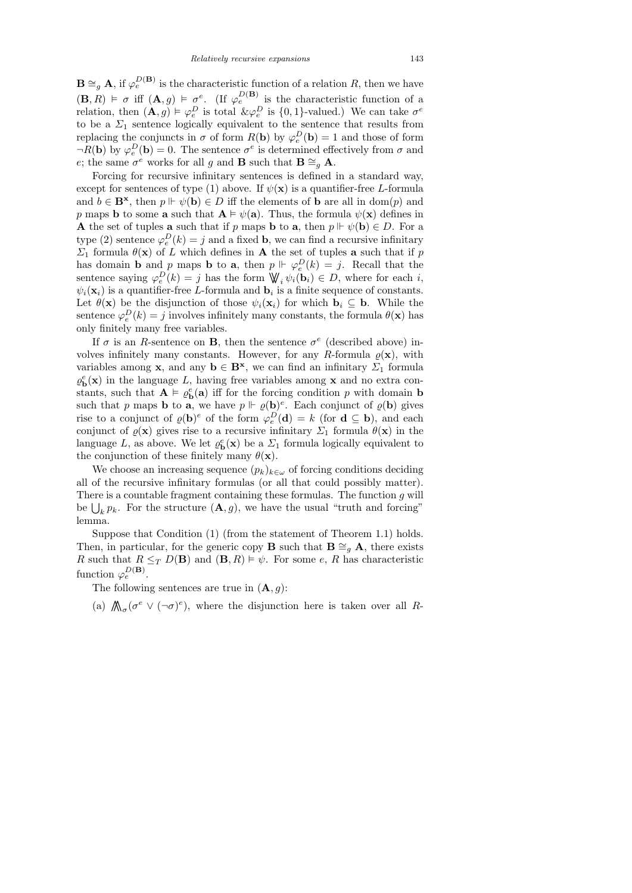$\mathbf{B} \cong_{g} \mathbf{A}$ , if  $\varphi_e^{D(\mathbf{B})}$  is the characteristic function of a relation R, then we have  $(\mathbf{B}, R) \models \sigma$  iff  $(\mathbf{A}, g) \models \sigma^e$ . (If  $\varphi_e^{D(\mathbf{B})}$  is the characteristic function of a relation, then  $(\mathbf{A}, g) \models \varphi_e^D$  is total  $\& \varphi_e^D$  is  $\{0, 1\}$ -valued.) We can take  $\sigma^e$ to be a  $\Sigma_1$  sentence logically equivalent to the sentence that results from replacing the conjuncts in  $\sigma$  of form  $R(\mathbf{b})$  by  $\varphi_e^D(\mathbf{b}) = 1$  and those of form  $\neg R(\mathbf{b})$  by  $\varphi_e^D(\mathbf{b}) = 0$ . The sentence  $\sigma^e$  is determined effectively from  $\sigma$  and e; the same  $\sigma^e$  works for all g and **B** such that **B**  $\cong_g$  **A**.

Forcing for recursive infinitary sentences is defined in a standard way, except for sentences of type (1) above. If  $\psi(\mathbf{x})$  is a quantifier-free L-formula and  $b \in \mathbf{B}^{\mathbf{x}}$ , then  $p \Vdash \psi(\mathbf{b}) \in D$  iff the elements of **b** are all in dom(p) and p maps **b** to some **a** such that  $A \models \psi(a)$ . Thus, the formula  $\psi(x)$  defines in **A** the set of tuples **a** such that if p maps **b** to **a**, then  $p \Vdash \psi(\mathbf{b}) \in D$ . For a type (2) sentence  $\varphi_e^D(k) = j$  and a fixed **b**, we can find a recursive infinitary  $\Sigma_1$  formula  $\theta(\mathbf{x})$  of L which defines in **A** the set of tuples **a** such that if p has domain **b** and p maps **b** to **a**, then  $p \Vdash \varphi_e^D(k) = j$ . Recall that the sentence saying  $\varphi_e^D(k) = j$  has the form  $\mathbb{W}_i \psi_i(\mathbf{b}_i) \in D$ , where for each i,  $\psi_i(\mathbf{x}_i)$  is a quantifier-free L-formula and  $\mathbf{b}_i$  is a finite sequence of constants. Let  $\theta(\mathbf{x})$  be the disjunction of those  $\psi_i(\mathbf{x}_i)$  for which  $\mathbf{b}_i \subseteq \mathbf{b}$ . While the sentence  $\varphi_e^D(k) = j$  involves infinitely many constants, the formula  $\theta(\mathbf{x})$  has only finitely many free variables.

If  $\sigma$  is an R-sentence on **B**, then the sentence  $\sigma^e$  (described above) involves infinitely many constants. However, for any R-formula  $\rho(\mathbf{x})$ , with variables among **x**, and any  $\mathbf{b} \in \mathbf{B}^{x}$ , we can find an infinitary  $\Sigma_1$  formula  $\varrho_{\mathbf{b}}^e(\mathbf{x})$  in the language L, having free variables among **x** and no extra constants, such that  $\mathbf{A} \models \varrho_{\mathbf{b}}^e(\mathbf{a})$  iff for the forcing condition p with domain **b** such that p maps **b** to **a**, we have  $p \Vdash \varrho(\mathbf{b})^e$ . Each conjunct of  $\varrho(\mathbf{b})$  gives rise to a conjunct of  $\varrho(\mathbf{b})^e$  of the form  $\varphi_e^D(\mathbf{d}) = k$  (for  $\mathbf{d} \subseteq \mathbf{b}$ ), and each conjunct of  $\varrho(\mathbf{x})$  gives rise to a recursive infinitary  $\Sigma_1$  formula  $\theta(\mathbf{x})$  in the language L, as above. We let  $\varrho_{\mathbf{b}}^{e}(\mathbf{x})$  be a  $\Sigma_1$  formula logically equivalent to the conjunction of these finitely many  $\theta(\mathbf{x})$ .

We choose an increasing sequence  $(p_k)_{k \in \omega}$  of forcing conditions deciding all of the recursive infinitary formulas (or all that could possibly matter). There is a countable fragment containing these formulas. The function g will be  $\bigcup_k p_k$ . For the structure  $(\mathbf{A}, g)$ , we have the usual "truth and forcing" lemma.

Suppose that Condition (1) (from the statement of Theorem 1.1) holds. Then, in particular, for the generic copy **B** such that  $\mathbf{B} \cong_{q} \mathbf{A}$ , there exists R such that  $R \leq_T D(\mathbf{B})$  and  $(\mathbf{B}, R) \models \psi$ . For some e, R has characteristic function  $\varphi_e^{D(B)}$ .

The following sentences are true in  $(A, g)$ :

(a)  $\mathcal{N}_{\sigma}(\sigma^e \vee (\neg \sigma)^e)$ , where the disjunction here is taken over all R-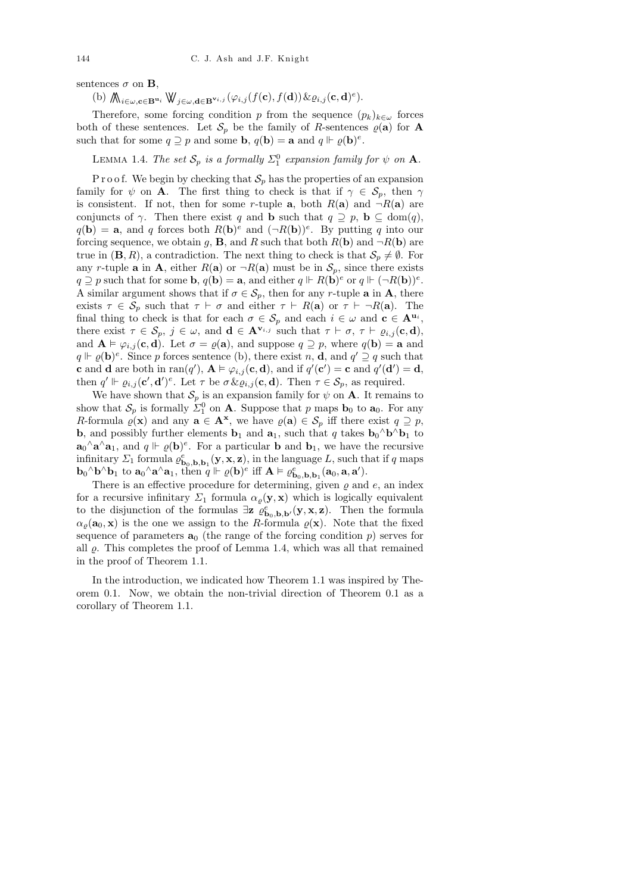sentences  $\sigma$  on **B**,

(b)  $\bigwedge_{i \in \omega, \mathbf{c} \in \mathbf{B}^{\mathbf{u}_i}} \mathbb{W}_{j \in \omega, \mathbf{d} \in \mathbf{B}^{\mathbf{v}_{i,j}}}(\varphi_{i,j}(f(\mathbf{c}), f(\mathbf{d})) \& \varrho_{i,j}(\mathbf{c}, \mathbf{d})^e).$ 

Therefore, some forcing condition p from the sequence  $(p_k)_{k \in \omega}$  forces both of these sentences. Let  $\mathcal{S}_p$  be the family of R-sentences  $\varrho(\mathbf{a})$  for **A** such that for some  $q \supseteq p$  and some **b**,  $q(\mathbf{b}) = \mathbf{a}$  and  $q \Vdash \varrho(\mathbf{b})^e$ .

LEMMA 1.4. The set  $S_p$  is a formally  $\Sigma_1^0$  expansion family for  $\psi$  on  $\mathbf A$ .

P r o o f. We begin by checking that  $S_p$  has the properties of an expansion family for  $\psi$  on **A**. The first thing to check is that if  $\gamma \in \mathcal{S}_p$ , then  $\gamma$ is consistent. If not, then for some r-tuple **a**, both  $R(\mathbf{a})$  and  $\neg R(\mathbf{a})$  are conjuncts of  $\gamma$ . Then there exist q and **b** such that  $q \supseteq p$ , **b**  $\subseteq$  dom(q),  $q(\mathbf{b}) = \mathbf{a}$ , and q forces both  $R(\mathbf{b})^e$  and  $(\neg R(\mathbf{b}))^e$ . By putting q into our forcing sequence, we obtain g, **B**, and R such that both  $R(\mathbf{b})$  and  $\neg R(\mathbf{b})$  are true in  $(\mathbf{B}, R)$ , a contradiction. The next thing to check is that  $\mathcal{S}_p \neq \emptyset$ . For any r-tuple **a** in **A**, either  $R(\mathbf{a})$  or  $\neg R(\mathbf{a})$  must be in  $S_p$ , since there exists  $q \supseteq p$  such that for some **b**,  $q(\mathbf{b}) = \mathbf{a}$ , and either  $q \Vdash R(\mathbf{b})^e$  or  $q \Vdash (\neg R(\mathbf{b}))^e$ . A similar argument shows that if  $\sigma \in \mathcal{S}_p$ , then for any r-tuple **a** in **A**, there exists  $\tau \in \mathcal{S}_p$  such that  $\tau \vdash \sigma$  and either  $\tau \vdash R(\mathbf{a})$  or  $\tau \vdash \neg R(\mathbf{a})$ . The final thing to check is that for each  $\sigma \in \mathcal{S}_p$  and each  $i \in \omega$  and  $\mathbf{c} \in \mathbf{A}^{\mathbf{u}_i}$ , there exist  $\tau \in \mathcal{S}_p$ ,  $j \in \omega$ , and  $\mathbf{d} \in \mathbf{A}^{\mathbf{v}_{i,j}}$  such that  $\tau \vdash \sigma$ ,  $\tau \vdash \varrho_{i,j}(\mathbf{c}, \mathbf{d})$ , and  $A \vDash \varphi_{i,j} (\mathbf{c}, \mathbf{d})$ . Let  $\sigma = \varrho(\mathbf{a})$ , and suppose  $q \supseteq p$ , where  $q(\mathbf{b}) = \mathbf{a}$  and  $q \Vdash \varrho(\mathbf{b})^e$ . Since p forces sentence (b), there exist n, **d**, and  $q' \supseteq q$  such that **c** and **d** are both in ran(q'),  $A \models \varphi_{i,j}(\mathbf{c}, \mathbf{d})$ , and if  $q'(\mathbf{c}') = \mathbf{c}$  and  $q'(\mathbf{d}') = \mathbf{d}$ , then  $q' \Vdash \varrho_{i,j}(\mathbf{c}', \mathbf{d}')^e$ . Let  $\tau$  be  $\sigma \& \varrho_{i,j}(\mathbf{c}, \mathbf{d})$ . Then  $\tau \in \mathcal{S}_p$ , as required.

We have shown that  $\mathcal{S}_p$  is an expansion family for  $\psi$  on **A**. It remains to show that  $S_p$  is formally  $\Sigma_1^0$  on **A**. Suppose that p maps **b**<sub>0</sub> to **a**<sub>0</sub>. For any R-formula  $\varrho(\mathbf{x})$  and any  $\mathbf{a} \in \mathbf{A}^{\mathbf{x}}$ , we have  $\varrho(\mathbf{a}) \in \mathcal{S}_p$  iff there exist  $q \supseteq p$ , **b**, and possibly further elements **b**<sub>1</sub> and **a**<sub>1</sub>, such that q takes **b**<sub>0</sub><sup> $\wedge$ </sup>**b**<sup> $\wedge$ </sup>**b**<sub>1</sub> to  $\mathbf{a}_0 \wedge \mathbf{a} \wedge \mathbf{a}_1$ , and  $q \Vdash \varrho(\mathbf{b})^e$ . For a particular **b** and  $\mathbf{b}_1$ , we have the recursive infinitary  $\Sigma_1$  formula  $\varrho_{\mathbf{b}_0,\mathbf{b}_1}^e(\mathbf{y},\mathbf{x},\mathbf{z})$ , in the language L, such that if q maps  $\mathbf{b}_0 \wedge \mathbf{b} \wedge \mathbf{b}_1$  to  $\mathbf{a}_0 \wedge \mathbf{a} \wedge \mathbf{a}_1$ , then  $q \Vdash \varrho(\mathbf{b})^e$  iff  $\mathbf{A} \models \varrho_{\mathbf{b}_0,\mathbf{b},\mathbf{b}_1}^e(\mathbf{a}_0,\mathbf{a},\mathbf{a}')$ .

There is an effective procedure for determining, given  $\varrho$  and  $e$ , an index for a recursive infinitary  $\Sigma_1$  formula  $\alpha_{\rho}(\mathbf{y}, \mathbf{x})$  which is logically equivalent to the disjunction of the formulas  $\exists z \; \varrho_{\mathbf{b}_0,\mathbf{b},\mathbf{b}'}^e(\mathbf{y},\mathbf{x},\mathbf{z})$ . Then the formula  $\alpha_{\varrho}(\mathbf{a}_0, \mathbf{x})$  is the one we assign to the R-formula  $\varrho(\mathbf{x})$ . Note that the fixed sequence of parameters  $a_0$  (the range of the forcing condition p) serves for all  $\rho$ . This completes the proof of Lemma 1.4, which was all that remained in the proof of Theorem 1.1.

In the introduction, we indicated how Theorem 1.1 was inspired by Theorem 0.1. Now, we obtain the non-trivial direction of Theorem 0.1 as a corollary of Theorem 1.1.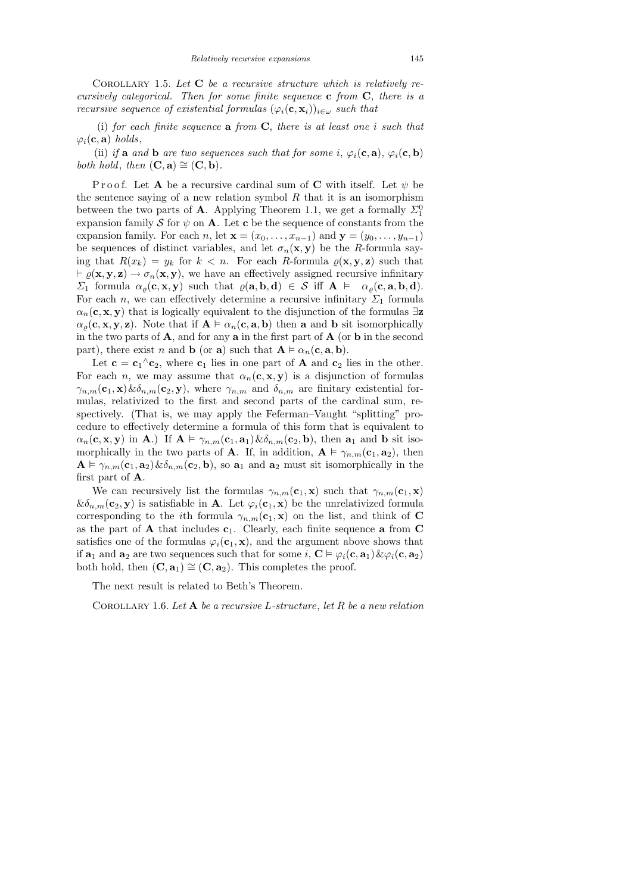COROLLARY 1.5. Let  $C$  be a recursive structure which is relatively recursively categorical. Then for some finite sequence  $c$  from  $C$ , there is a recursive sequence of existential formulas  $(\varphi_i(\mathbf{c}, \mathbf{x}_i))_{i \in \omega}$  such that

(i) for each finite sequence  $a$  from  $C$ , there is at least one i such that  $\varphi_i(\mathbf{c}, \mathbf{a})$  holds,

(ii) if a and b are two sequences such that for some i,  $\varphi_i(\mathbf{c}, \mathbf{a})$ ,  $\varphi_i(\mathbf{c}, \mathbf{b})$ both hold, then  $(C, a) \cong (C, b)$ .

P r o o f. Let A be a recursive cardinal sum of C with itself. Let  $\psi$  be the sentence saying of a new relation symbol  $R$  that it is an isomorphism between the two parts of **A**. Applying Theorem 1.1, we get a formally  $\Sigma_1^0$ expansion family S for  $\psi$  on A. Let c be the sequence of constants from the expansion family. For each n, let  $\mathbf{x} = (x_0, \ldots, x_{n-1})$  and  $\mathbf{y} = (y_0, \ldots, y_{n-1})$ be sequences of distinct variables, and let  $\sigma_n(\mathbf{x}, \mathbf{y})$  be the R-formula saying that  $R(x_k) = y_k$  for  $k < n$ . For each R-formula  $\rho(\mathbf{x}, \mathbf{y}, \mathbf{z})$  such that  $\vdash \varrho(\mathbf{x}, \mathbf{y}, \mathbf{z}) \rightarrow \sigma_n(\mathbf{x}, \mathbf{y})$ , we have an effectively assigned recursive infinitary  $\Sigma_1$  formula  $\alpha_{\rho}(\mathbf{c}, \mathbf{x}, \mathbf{y})$  such that  $\rho(\mathbf{a}, \mathbf{b}, \mathbf{d}) \in S$  iff  $\mathbf{A} \models \alpha_{\rho}(\mathbf{c}, \mathbf{a}, \mathbf{b}, \mathbf{d})$ . For each *n*, we can effectively determine a recursive infinitary  $\Sigma_1$  formula  $\alpha_n(c, x, y)$  that is logically equivalent to the disjunction of the formulas  $\exists z$  $\alpha_{\rho}(\mathbf{c}, \mathbf{x}, \mathbf{y}, \mathbf{z})$ . Note that if  $\mathbf{A} \models \alpha_n(\mathbf{c}, \mathbf{a}, \mathbf{b})$  then **a** and **b** sit isomorphically in the two parts of  $\bf{A}$ , and for any  $\bf{a}$  in the first part of  $\bf{A}$  (or  $\bf{b}$  in the second part), there exist n and **b** (or **a**) such that  $A \models \alpha_n(c, a, b)$ .

Let  $\mathbf{c} = \mathbf{c}_1^{\wedge} \mathbf{c}_2$ , where  $\mathbf{c}_1$  lies in one part of **A** and  $\mathbf{c}_2$  lies in the other. For each *n*, we may assume that  $\alpha_n(c, x, y)$  is a disjunction of formulas  $\gamma_{n,m}(\mathbf{c}_1, \mathbf{x})\&\delta_{n,m}(\mathbf{c}_2, \mathbf{y})$ , where  $\gamma_{n,m}$  and  $\delta_{n,m}$  are finitary existential formulas, relativized to the first and second parts of the cardinal sum, respectively. (That is, we may apply the Feferman–Vaught "splitting" procedure to effectively determine a formula of this form that is equivalent to  $\alpha_n(\mathbf{c}, \mathbf{x}, \mathbf{y})$  in **A**.) If  $\mathbf{A} \models \gamma_{n,m}(\mathbf{c}_1, \mathbf{a}_1) \& \delta_{n,m}(\mathbf{c}_2, \mathbf{b})$ , then  $\mathbf{a}_1$  and **b** sit isomorphically in the two parts of **A**. If, in addition,  $\mathbf{A} \models \gamma_{n,m}(\mathbf{c}_1, \mathbf{a}_2)$ , then  $\mathbf{A} \models \gamma_{n,m}(\mathbf{c}_1, \mathbf{a}_2) \& \delta_{n,m}(\mathbf{c}_2, \mathbf{b}),$  so  $\mathbf{a}_1$  and  $\mathbf{a}_2$  must sit isomorphically in the first part of A.

We can recursively list the formulas  $\gamma_{n,m}(\mathbf{c}_1, \mathbf{x})$  such that  $\gamma_{n,m}(\mathbf{c}_1, \mathbf{x})$  $&\delta_{n,m}(\mathbf{c}_2, \mathbf{y})$  is satisfiable in **A**. Let  $\varphi_i(\mathbf{c}_1, \mathbf{x})$  be the unrelativized formula corresponding to the *i*th formula  $\gamma_{n,m}(\mathbf{c}_1, \mathbf{x})$  on the list, and think of **C** as the part of  $A$  that includes  $c_1$ . Clearly, each finite sequence a from  $C$ satisfies one of the formulas  $\varphi_i(\mathbf{c}_1, \mathbf{x})$ , and the argument above shows that if  $\mathbf{a}_1$  and  $\mathbf{a}_2$  are two sequences such that for some i,  $\mathbf{C} \models \varphi_i(\mathbf{c}, \mathbf{a}_1) \& \varphi_i(\mathbf{c}, \mathbf{a}_2)$ both hold, then  $(C, a_1) \cong (C, a_2)$ . This completes the proof.

The next result is related to Beth's Theorem.

COROLLARY 1.6. Let  $A$  be a recursive L-structure, let  $R$  be a new relation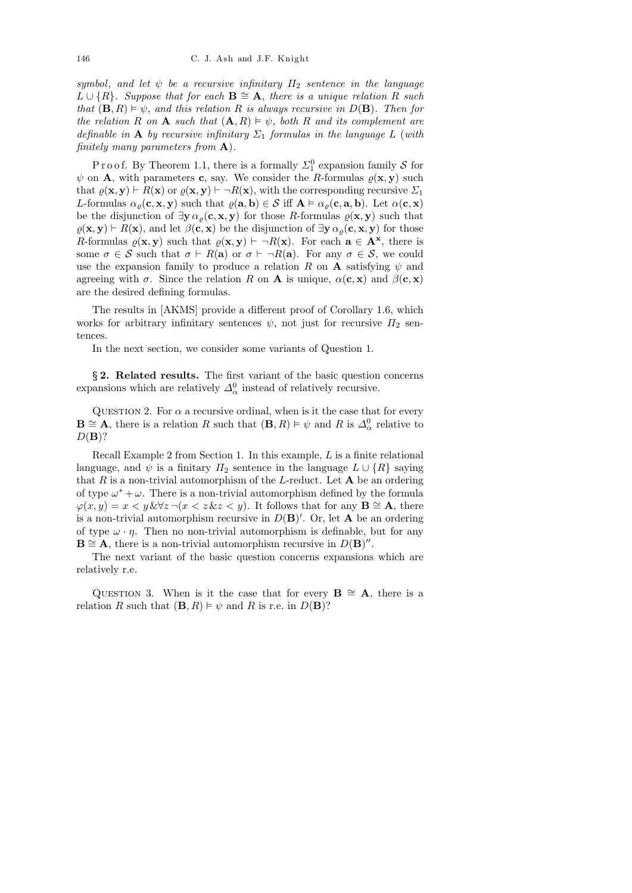symbol, and let  $\psi$  be a recursive infinitary  $\Pi_2$  sentence in the language  $L \cup \{R\}$ . Suppose that for each  $\mathbf{B} \cong \mathbf{A}$ , there is a unique relation R such that  $(\mathbf{B}, R) \models \psi$ , and this relation R is always recursive in  $D(\mathbf{B})$ . Then for the relation R on A such that  $(A, R) \models \psi$ , both R and its complement are definable in A by recursive infinitary  $\Sigma_1$  formulas in the language L (with finitely many parameters from  $\mathbf{A}$ ).

P r o o f. By Theorem 1.1, there is a formally  $\Sigma_1^0$  expansion family S for  $\psi$  on **A**, with parameters **c**, say. We consider the *R*-formulas  $\varrho(\mathbf{x}, \mathbf{y})$  such that  $\varrho(\mathbf{x}, \mathbf{y}) \vdash R(\mathbf{x})$  or  $\varrho(\mathbf{x}, \mathbf{y}) \vdash \neg R(\mathbf{x})$ , with the corresponding recursive  $\Sigma_1$ L-formulas  $\alpha_{\rho}(\mathbf{c}, \mathbf{x}, \mathbf{y})$  such that  $\varrho(\mathbf{a}, \mathbf{b}) \in \mathcal{S}$  iff  $\mathbf{A} \models \alpha_{\rho}(\mathbf{c}, \mathbf{a}, \mathbf{b})$ . Let  $\alpha(\mathbf{c}, \mathbf{x})$ be the disjunction of  $\exists y \alpha_{\rho}(\mathbf{c}, \mathbf{x}, y)$  for those R-formulas  $\rho(\mathbf{x}, y)$  such that  $\rho(\mathbf{x}, \mathbf{y}) \vdash R(\mathbf{x})$ , and let  $\beta(\mathbf{c}, \mathbf{x})$  be the disjunction of  $\exists \mathbf{y} \alpha_{\rho}(\mathbf{c}, \mathbf{x}, \mathbf{y})$  for those R-formulas  $\varrho(\mathbf{x}, \mathbf{y})$  such that  $\varrho(\mathbf{x}, \mathbf{y}) \vdash \neg R(\mathbf{x})$ . For each  $\mathbf{a} \in \mathbf{A}^{\mathbf{x}}$ , there is some  $\sigma \in \mathcal{S}$  such that  $\sigma \vdash R(\mathbf{a})$  or  $\sigma \vdash \neg R(\mathbf{a})$ . For any  $\sigma \in \mathcal{S}$ , we could use the expansion family to produce a relation R on A satisfying  $\psi$  and agreeing with  $\sigma$ . Since the relation R on A is unique,  $\alpha(c, x)$  and  $\beta(c, x)$ are the desired defining formulas.

The results in [AKMS] provide a different proof of Corollary 1.6, which works for arbitrary infinitary sentences  $\psi$ , not just for recursive  $\Pi_2$  sentences.

In the next section, we consider some variants of Question 1.

§ 2. Related results. The first variant of the basic question concerns expansions which are relatively  $\Delta_{\alpha}^{0}$  instead of relatively recursive.

QUESTION 2. For  $\alpha$  a recursive ordinal, when is it the case that for every  $\mathbf{B} \cong \mathbf{A}$ , there is a relation R such that  $(\mathbf{B}, R) \models \psi$  and R is  $\Delta_{\alpha}^0$  relative to  $D(\mathbf{B})$ ?

Recall Example 2 from Section 1. In this example, L is a finite relational language, and  $\psi$  is a finitary  $\Pi_2$  sentence in the language  $L \cup \{R\}$  saying that R is a non-trivial automorphism of the L-reduct. Let  $A$  be an ordering of type  $\omega^* + \omega$ . There is a non-trivial automorphism defined by the formula  $\varphi(x, y) = x \langle y \& \forall z \neg (x \langle z \& z \langle y \rangle)$ . It follows that for any  $\mathbf{B} \cong \mathbf{A}$ , there is a non-trivial automorphism recursive in  $D(\mathbf{B})'$ . Or, let **A** be an ordering of type  $\omega \cdot \eta$ . Then no non-trivial automorphism is definable, but for any  $\mathbf{B} \cong \mathbf{A}$ , there is a non-trivial automorphism recursive in  $D(\mathbf{B})^{\prime\prime}$ .

The next variant of the basic question concerns expansions which are relatively r.e.

QUESTION 3. When is it the case that for every  $\mathbf{B} \cong \mathbf{A}$ , there is a relation R such that  $(\mathbf{B}, R) \models \psi$  and R is r.e. in  $D(\mathbf{B})$ ?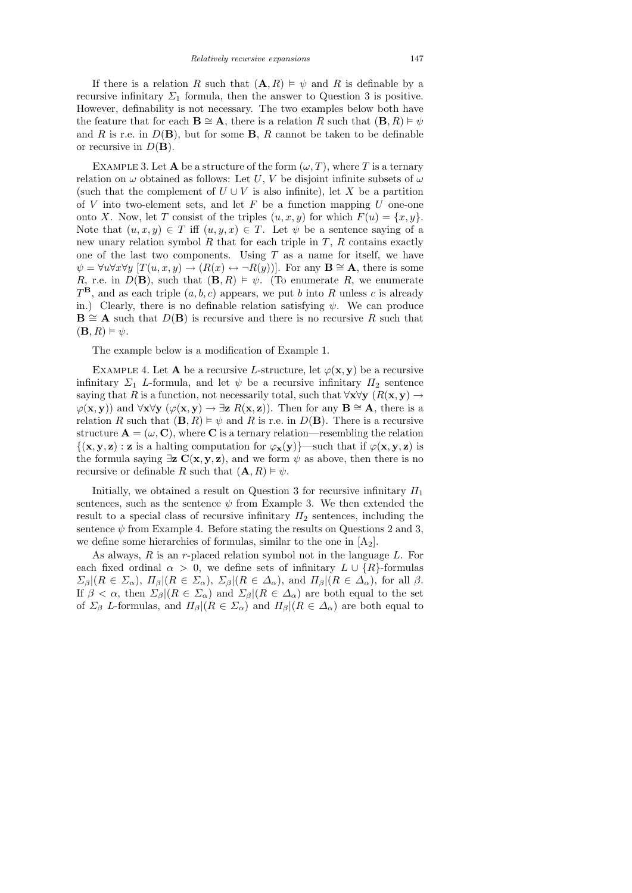If there is a relation R such that  $(A, R) \models \psi$  and R is definable by a recursive infinitary  $\Sigma_1$  formula, then the answer to Question 3 is positive. However, definability is not necessary. The two examples below both have the feature that for each  $\mathbf{B} \cong \mathbf{A}$ , there is a relation R such that  $(\mathbf{B}, R) \models \psi$ and R is r.e. in  $D(\mathbf{B})$ , but for some **B**, R cannot be taken to be definable or recursive in  $D(\mathbf{B})$ .

EXAMPLE 3. Let **A** be a structure of the form  $(\omega, T)$ , where T is a ternary relation on  $\omega$  obtained as follows: Let U, V be disjoint infinite subsets of  $\omega$ (such that the complement of  $U \cup V$  is also infinite), let X be a partition of  $V$  into two-element sets, and let  $F$  be a function mapping  $U$  one-one onto X. Now, let T consist of the triples  $(u, x, y)$  for which  $F(u) = \{x, y\}.$ Note that  $(u, x, y) \in T$  iff  $(u, y, x) \in T$ . Let  $\psi$  be a sentence saying of a new unary relation symbol  $R$  that for each triple in  $T$ ,  $R$  contains exactly one of the last two components. Using  $T$  as a name for itself, we have  $\psi = \forall u \forall x \forall y [T(u, x, y) \rightarrow (R(x) \leftrightarrow \neg R(y))].$  For any  $\mathbf{B} \cong \mathbf{A}$ , there is some R, r.e. in  $D(\mathbf{B})$ , such that  $(\mathbf{B}, R) \models \psi$ . (To enumerate R, we enumerate  $T^{\mathbf{B}}$ , and as each triple  $(a, b, c)$  appears, we put b into R unless c is already in.) Clearly, there is no definable relation satisfying  $\psi$ . We can produce  $\mathbf{B} \cong \mathbf{A}$  such that  $D(\mathbf{B})$  is recursive and there is no recursive R such that  $(\mathbf{B}, R) \models \psi.$ 

The example below is a modification of Example 1.

EXAMPLE 4. Let **A** be a recursive L-structure, let  $\varphi(\mathbf{x}, \mathbf{y})$  be a recursive infinitary  $\Sigma_1$  L-formula, and let  $\psi$  be a recursive infinitary  $\Pi_2$  sentence saying that R is a function, not necessarily total, such that  $\forall x \forall y \ (R(x, y) \rightarrow$  $\varphi(\mathbf{x}, \mathbf{y})$  and  $\forall \mathbf{x} \forall \mathbf{y}$  ( $\varphi(\mathbf{x}, \mathbf{y}) \rightarrow \exists \mathbf{z} R(\mathbf{x}, \mathbf{z})$ ). Then for any  $\mathbf{B} \cong \mathbf{A}$ , there is a relation R such that  $(\mathbf{B}, R) \models \psi$  and R is r.e. in  $D(\mathbf{B})$ . There is a recursive structure  $\mathbf{A} = (\omega, \mathbf{C})$ , where **C** is a ternary relation—resembling the relation  $\{(x, y, z) : z \text{ is a halting computation for } \varphi_x(y)\}$ —such that if  $\varphi(x, y, z)$  is the formula saying  $\exists z \mathbf{C}(\mathbf{x}, \mathbf{y}, \mathbf{z})$ , and we form  $\psi$  as above, then there is no recursive or definable R such that  $(A, R) \models \psi$ .

Initially, we obtained a result on Question 3 for recursive infinitary  $\Pi_1$ sentences, such as the sentence  $\psi$  from Example 3. We then extended the result to a special class of recursive infinitary  $\Pi_2$  sentences, including the sentence  $\psi$  from Example 4. Before stating the results on Questions 2 and 3, we define some hierarchies of formulas, similar to the one in  $[A_2]$ .

As always,  $R$  is an r-placed relation symbol not in the language  $L$ . For each fixed ordinal  $\alpha > 0$ , we define sets of infinitary  $L \cup \{R\}$ -formulas  $\Sigma_{\beta}|(R \in \Sigma_{\alpha}), \Pi_{\beta}|(R \in \Sigma_{\alpha}), \Sigma_{\beta}|(R \in \Delta_{\alpha}), \text{ and } \Pi_{\beta}|(R \in \Delta_{\alpha}), \text{ for all } \beta.$ If  $\beta < \alpha$ , then  $\Sigma_{\beta} | (R \in \Sigma_{\alpha})$  and  $\Sigma_{\beta} | (R \in \Delta_{\alpha})$  are both equal to the set of  $\Sigma_{\beta}$  L-formulas, and  $\Pi_{\beta} | (R \in \Sigma_{\alpha})$  and  $\Pi_{\beta} | (R \in \Delta_{\alpha})$  are both equal to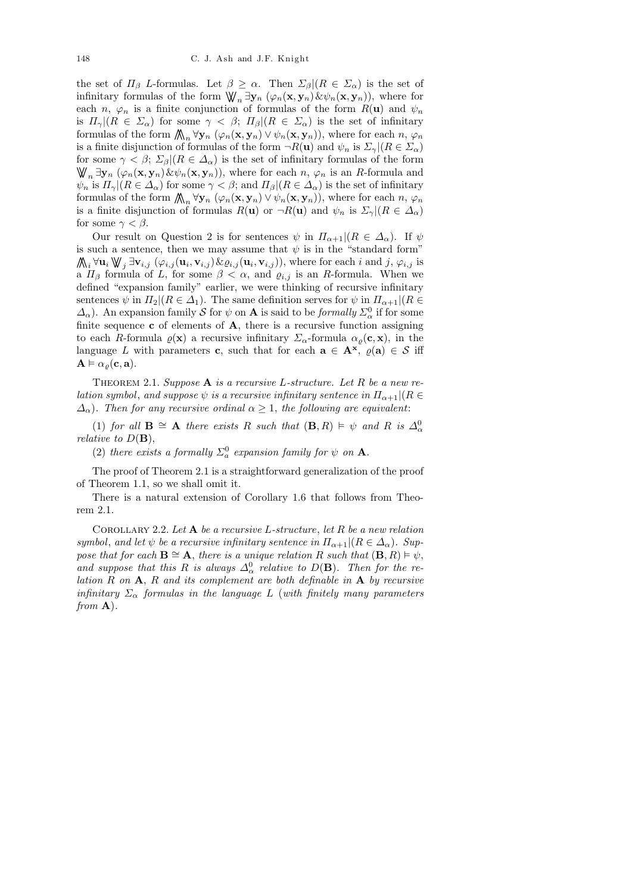the set of  $\Pi_{\beta}$  L-formulas. Let  $\beta \geq \alpha$ . Then  $\Sigma_{\beta} | (R \in \Sigma_{\alpha})$  is the set of infinitary formulas of the form  $\mathbb{W}_n \exists y_n (\varphi_n(\mathbf{x}, y_n), \mathcal{L} \psi_n(\mathbf{x}, y_n)),$  where for each n,  $\varphi_n$  is a finite conjunction of formulas of the form  $R(\mathbf{u})$  and  $\psi_n$ is  $\Pi_{\gamma} | (R \in \Sigma_{\alpha})$  for some  $\gamma < \beta$ ;  $\Pi_{\beta} | (R \in \Sigma_{\alpha})$  is the set of infinitary formulas of the form  $\bigwedge_n \forall y_n (\varphi_n(x, y_n) \vee \psi_n(x, y_n)),$  where for each  $n, \varphi_n$ is a finite disjunction of formulas of the form  $\neg R(\mathbf{u})$  and  $\psi_n$  is  $\Sigma_\gamma | (R \in \Sigma_\alpha)$ for some  $\gamma < \beta$ ;  $\Sigma_{\beta} | (R \in \Delta_{\alpha})$  is the set of infinitary formulas of the form  $\mathbb{W}_n \exists y_n (\varphi_n(\mathbf{x}, y_n) \& \psi_n(\mathbf{x}, y_n)),$  where for each  $n, \varphi_n$  is an R-formula and  $\psi_n$  is  $\Pi_\gamma | (R \in \Delta_\alpha)$  for some  $\gamma < \beta$ ; and  $\Pi_\beta | (R \in \Delta_\alpha)$  is the set of infinitary formulas of the form  $\bigwedge_n \forall y_n (\varphi_n(x, y_n) \vee \psi_n(x, y_n)),$  where for each  $n, \varphi_n$ is a finite disjunction of formulas  $R(\mathbf{u})$  or  $\neg R(\mathbf{u})$  and  $\psi_n$  is  $\Sigma_\gamma | (R \in \Delta_\alpha)$ for some  $\gamma < \beta$ .

Our result on Question 2 is for sentences  $\psi$  in  $\Pi_{\alpha+1}|(R \in \Delta_{\alpha})$ . If  $\psi$ is such a sentence, then we may assume that  $\psi$  is in the "standard form"  $\bigwedge_i \forall \mathbf{u}_i \bigvee \mathbf{y}_j \exists \mathbf{v}_{i,j} \ (\varphi_{i,j}(\mathbf{u}_i, \mathbf{v}_{i,j}) \& \varrho_{i,j}(\mathbf{u}_i, \mathbf{v}_{i,j})),$  where for each i and j,  $\varphi_{i,j}$  is a  $\Pi_{\beta}$  formula of L, for some  $\beta < \alpha$ , and  $\varrho_{i,j}$  is an R-formula. When we defined "expansion family" earlier, we were thinking of recursive infinitary sentences  $\psi$  in  $\Pi_2|(R \in \Delta_1)$ . The same definition serves for  $\psi$  in  $\Pi_{\alpha+1}|(R \in$  $\Delta_{\alpha}$ ). An expansion family S for  $\psi$  on A is said to be *formally*  $\Sigma_{\alpha}^0$  if for some finite sequence  $\bf{c}$  of elements of  $\bf{A}$ , there is a recursive function assigning to each R-formula  $\varrho(\mathbf{x})$  a recursive infinitary  $\Sigma_{\alpha}$ -formula  $\alpha_{\rho}(\mathbf{c}, \mathbf{x})$ , in the language L with parameters c, such that for each  $a \in A^{\mathbf{x}}, \varrho(a) \in S$  iff  $\mathbf{A} \models \alpha_{\rho}(\mathbf{c}, \mathbf{a}).$ 

THEOREM 2.1. Suppose  $A$  is a recursive L-structure. Let R be a new relation symbol, and suppose  $\psi$  is a recursive infinitary sentence in  $\Pi_{\alpha+1}$   $(R \in$  $\Delta_{\alpha}$ ). Then for any recursive ordinal  $\alpha \geq 1$ , the following are equivalent:

(1) for all  $\mathbf{B} \cong \mathbf{A}$  there exists R such that  $(\mathbf{B}, R) \models \psi$  and R is  $\Delta_{\alpha}^{0}$ relative to  $D(\mathbf{B}),$ 

(2) there exists a formally  $\Sigma_a^0$  expansion family for  $\psi$  on **A**.

The proof of Theorem 2.1 is a straightforward generalization of the proof of Theorem 1.1, so we shall omit it.

There is a natural extension of Corollary 1.6 that follows from Theorem 2.1.

COROLLARY 2.2. Let  $A$  be a recursive L-structure, let  $R$  be a new relation symbol, and let  $\psi$  be a recursive infinitary sentence in  $\Pi_{\alpha+1}|(R \in \Delta_{\alpha})$ . Suppose that for each  $\mathbf{B} \cong \mathbf{A}$ , there is a unique relation R such that  $(\mathbf{B}, R) \models \psi$ , and suppose that this R is always  $\Delta_{\alpha}^{0}$  relative to  $D(\mathbf{B})$ . Then for the relation  $R$  on  $A$ ,  $R$  and its complement are both definable in  $A$  by recursive infinitary  $\Sigma_{\alpha}$  formulas in the language L (with finitely many parameters from  $\bf{A}$ ).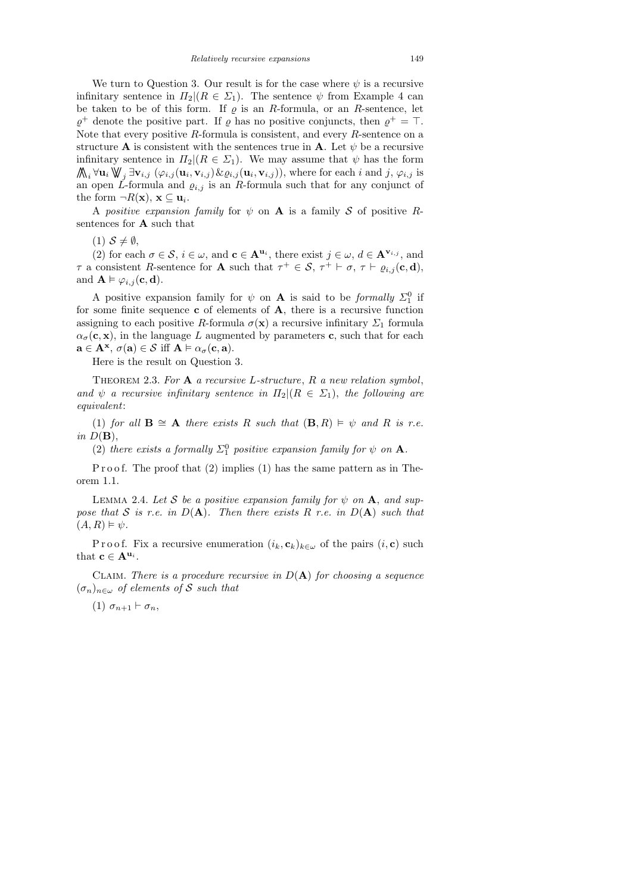We turn to Question 3. Our result is for the case where  $\psi$  is a recursive infinitary sentence in  $\Pi_2 | (R \in \Sigma_1)$ . The sentence  $\psi$  from Example 4 can be taken to be of this form. If  $\rho$  is an R-formula, or an R-sentence, let  $\varrho^+$  denote the positive part. If  $\varrho$  has no positive conjuncts, then  $\varrho^+ = \top$ . Note that every positive  $R$ -formula is consistent, and every  $R$ -sentence on a structure **A** is consistent with the sentences true in **A**. Let  $\psi$  be a recursive infinitary sentence in  $\Pi_2|(R \in \Sigma_1)$ . We may assume that  $\psi$  has the form  $\bigwedge_i \forall \mathbf{u}_i \bigvee_j \exists \mathbf{v}_{i,j} (\varphi_{i,j}(\mathbf{u}_i, \mathbf{v}_{i,j}) \& \varrho_{i,j}(\mathbf{u}_i, \mathbf{v}_{i,j}))$ , where for each i and j,  $\varphi_{i,j}$  is an open L-formula and  $\varrho_{i,j}$  is an R-formula such that for any conjunct of the form  $\neg R(\mathbf{x}), \mathbf{x} \subseteq \mathbf{u}_i$ .

A positive expansion family for  $\psi$  on **A** is a family S of positive Rsentences for A such that

 $(1)$   $S \neq \emptyset$ ,

(2) for each  $\sigma \in \mathcal{S}$ ,  $i \in \omega$ , and  $\mathbf{c} \in \mathbf{A}^{\mathbf{u}_i}$ , there exist  $j \in \omega$ ,  $d \in \mathbf{A}^{\mathbf{v}_{i,j}}$ , and  $\tau$  a consistent R-sentence for **A** such that  $\tau^+ \in \mathcal{S}$ ,  $\tau^+ \vdash \sigma$ ,  $\tau \vdash \varrho_{i,j}(\mathbf{c}, \mathbf{d})$ , and  $\mathbf{A} \models \varphi_{i,j}(\mathbf{c}, \mathbf{d}).$ 

A positive expansion family for  $\psi$  on **A** is said to be *formally*  $\Sigma_1^0$  if for some finite sequence  $\bf{c}$  of elements of  $\bf{A}$ , there is a recursive function assigning to each positive R-formula  $\sigma(\mathbf{x})$  a recursive infinitary  $\Sigma_1$  formula  $\alpha_{\sigma}(\mathbf{c}, \mathbf{x})$ , in the language L augmented by parameters c, such that for each  $\mathbf{a} \in \mathbf{A}^{\mathbf{x}}, \sigma(\mathbf{a}) \in \mathcal{S} \text{ iff } \mathbf{A} \models \alpha_{\sigma}(\mathbf{c}, \mathbf{a}).$ 

Here is the result on Question 3.

THEOREM 2.3. For  $A$  a recursive L-structure,  $R$  a new relation symbol, and  $\psi$  a recursive infinitary sentence in  $\Pi_2 | (R \in \Sigma_1)$ , the following are equivalent:

(1) for all  $\mathbf{B} \cong \mathbf{A}$  there exists R such that  $(\mathbf{B}, R) \models \psi$  and R is r.e. in  $D(\mathbf{B})$ ,

(2) there exists a formally  $\Sigma_1^0$  positive expansion family for  $\psi$  on **A**.

P r o o f. The proof that  $(2)$  implies  $(1)$  has the same pattern as in Theorem 1.1.

LEMMA 2.4. Let S be a positive expansion family for  $\psi$  on A, and suppose that S is r.e. in  $D(A)$ . Then there exists R r.e. in  $D(A)$  such that  $(A, R) \models \psi.$ 

P r o o f. Fix a recursive enumeration  $(i_k, c_k)_{k \in \omega}$  of the pairs  $(i, c)$  such that  $\mathbf{c} \in \mathbf{A}^{\mathbf{u}_i}$ .

CLAIM. There is a procedure recursive in  $D(A)$  for choosing a sequence  $(\sigma_n)_{n\in\omega}$  of elements of S such that

(1)  $\sigma_{n+1} \vdash \sigma_n$ ,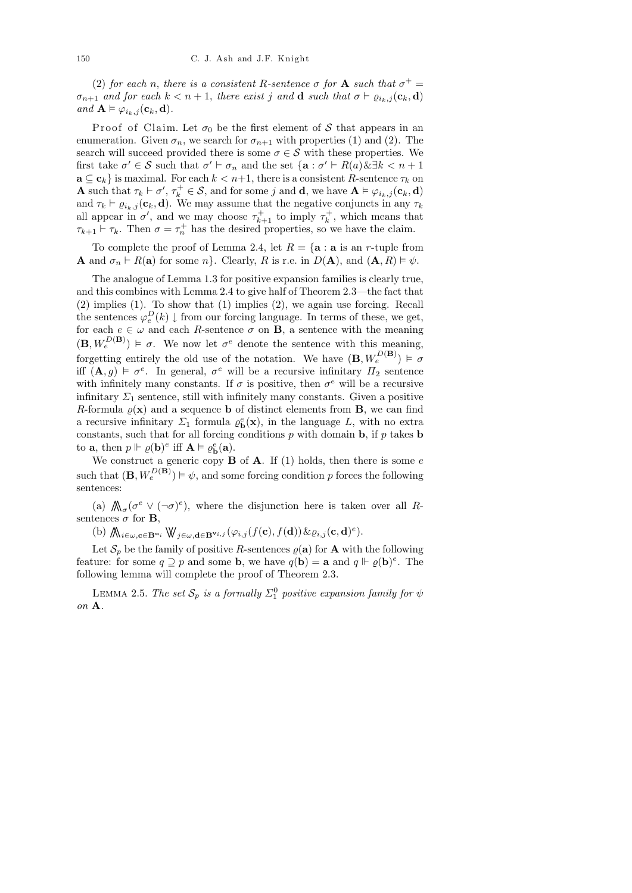(2) for each n, there is a consistent R-sentence  $\sigma$  for **A** such that  $\sigma^+$  =  $\sigma_{n+1}$  and for each  $k < n+1$ , there exist j and **d** such that  $\sigma \vdash \varrho_{i_k,j}(\mathbf{c}_k, \mathbf{d})$ and  $\mathbf{A} \models \varphi_{i_k,j}(\mathbf{c}_k, \mathbf{d}).$ 

Proof of Claim. Let  $\sigma_0$  be the first element of S that appears in an enumeration. Given  $\sigma_n$ , we search for  $\sigma_{n+1}$  with properties (1) and (2). The search will succeed provided there is some  $\sigma \in \mathcal{S}$  with these properties. We first take  $\sigma' \in \mathcal{S}$  such that  $\sigma' \vdash \sigma_n$  and the set  $\{a : \sigma' \vdash R(a) \& \exists k < n+1\}$  $\mathbf{a} \subseteq \mathbf{c}_k$  is maximal. For each  $k < n+1$ , there is a consistent R-sentence  $\tau_k$  on **A** such that  $\tau_k \vdash \sigma', \tau_k^+ \in \mathcal{S}$ , and for some j and **d**, we have  $\mathbf{A} \vDash \varphi_{i_k,j}(\mathbf{c}_k, \mathbf{d})$ and  $\tau_k \vdash \varrho_{i_k,j}(\mathbf{c}_k, \mathbf{d})$ . We may assume that the negative conjuncts in any  $\tau_k$ all appear in  $\sigma'$ , and we may choose  $\tau_{k+1}^+$  to imply  $\tau_k^+$ , which means that  $\tau_{k+1} \vdash \tau_k$ . Then  $\sigma = \tau_n^+$  has the desired properties, so we have the claim.

To complete the proof of Lemma 2.4, let  $R = \{a : a \text{ is an } r\text{-tuple from}\}$ **A** and  $\sigma_n \vdash R(\mathbf{a})$  for some n}. Clearly, R is r.e. in  $D(\mathbf{A})$ , and  $(\mathbf{A}, R) \models \psi$ .

The analogue of Lemma 1.3 for positive expansion families is clearly true, and this combines with Lemma 2.4 to give half of Theorem 2.3—the fact that (2) implies (1). To show that (1) implies (2), we again use forcing. Recall the sentences  $\varphi_e^D(k) \downarrow$  from our forcing language. In terms of these, we get, for each  $e \in \omega$  and each R-sentence  $\sigma$  on **B**, a sentence with the meaning  $(\mathbf{B}, W_e^{D(\mathbf{B})}) \models \sigma$ . We now let  $\sigma^e$  denote the sentence with this meaning, forgetting entirely the old use of the notation. We have  $(\mathbf{B}, W_e^{D(\mathbf{B})}) \models \sigma$ iff  $(\mathbf{A}, g) \models \sigma^e$ . In general,  $\sigma^e$  will be a recursive infinitary  $\Pi_2$  sentence with infinitely many constants. If  $\sigma$  is positive, then  $\sigma^e$  will be a recursive infinitary  $\Sigma_1$  sentence, still with infinitely many constants. Given a positive R-formula  $\rho(\mathbf{x})$  and a sequence **b** of distinct elements from **B**, we can find a recursive infinitary  $\Sigma_1$  formula  $\varrho_{\mathbf{b}}^e(\mathbf{x})$ , in the language L, with no extra constants, such that for all forcing conditions  $p$  with domain  $\mathbf{b}$ , if  $p$  takes  $\mathbf{b}$ to **a**, then  $p \Vdash \varrho(\mathbf{b})^e$  iff  $\mathbf{A} \vDash \varrho_{\mathbf{b}}^e(\mathbf{a})$ .

We construct a generic copy  $\bf{B}$  of  $\bf{A}$ . If (1) holds, then there is some  $e$ such that  $(\mathbf{B}, W_e^{D(\mathbf{B})}) \models \psi$ , and some forcing condition p forces the following sentences:

(a)  $\mathcal{N}_{\sigma}(\sigma^e \vee (\neg \sigma)^e)$ , where the disjunction here is taken over all Rsentences  $\sigma$  for **B**,

(b)  $\bigwedge_{i \in \omega, \mathbf{c} \in \mathbf{B}^{\mathbf{u}_i}} \mathbb{W}_{j \in \omega, \mathbf{d} \in \mathbf{B}^{\mathbf{v}_{i,j}}}(\varphi_{i,j}(f(\mathbf{c}), f(\mathbf{d})) \& \varrho_{i,j}(\mathbf{c}, \mathbf{d})^e).$ 

Let  $S_p$  be the family of positive R-sentences  $\varrho(\mathbf{a})$  for **A** with the following feature: for some  $q \supseteq p$  and some **b**, we have  $q(\mathbf{b}) = \mathbf{a}$  and  $q \Vdash \varrho(\mathbf{b})^e$ . The following lemma will complete the proof of Theorem 2.3.

LEMMA 2.5. The set  $\mathcal{S}_p$  is a formally  $\Sigma^0_1$  positive expansion family for  $\psi$ on A.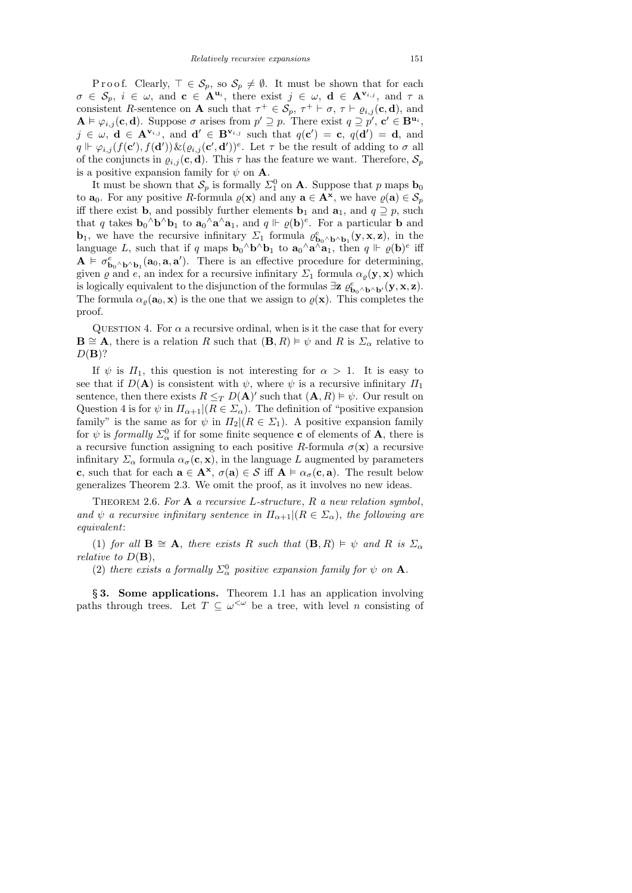P r o o f. Clearly,  $\top \in \mathcal{S}_p$ , so  $\mathcal{S}_p \neq \emptyset$ . It must be shown that for each  $\sigma \in \mathcal{S}_p$ ,  $i \in \omega$ , and  $\mathbf{c} \in \mathbf{A}^{\mathbf{u}_i}$ , there exist  $j \in \omega$ ,  $\mathbf{d} \in \mathbf{A}^{\mathbf{v}_{i,j}}$ , and  $\tau$  a consistent R-sentence on **A** such that  $\tau^+ \in \mathcal{S}_p$ ,  $\tau^+ \vdash \sigma$ ,  $\tau \vdash \varrho_{i,j}(\mathbf{c}, \mathbf{d})$ , and  $\mathbf{A} \models \varphi_{i,j}(\mathbf{c}, \mathbf{d})$ . Suppose  $\sigma$  arises from  $p' \supseteq p$ . There exist  $q \supseteq p'$ ,  $\mathbf{c}' \in \mathbf{B}^{\mathbf{u}_i}$ ,  $j \in \omega$ ,  $\mathbf{d} \in \mathbf{A}^{\mathbf{v}_{i,j}}$ , and  $\mathbf{d}' \in \mathbf{B}^{\mathbf{v}_{i,j}}$  such that  $q(\mathbf{c}') = \mathbf{c}$ ,  $q(\mathbf{d}') = \mathbf{d}$ , and  $q \Vdash \varphi_{i,j}(f(\mathbf{c}'), f(\mathbf{d}')) \& ( \varrho_{i,j}(\mathbf{c}', \mathbf{d}'))^e$ . Let  $\tau$  be the result of adding to  $\sigma$  all of the conjuncts in  $\varrho_{i,j}(\mathbf{c}, \mathbf{d})$ . This  $\tau$  has the feature we want. Therefore,  $\mathcal{S}_p$ is a positive expansion family for  $\psi$  on **A**.

It must be shown that  $S_p$  is formally  $\Sigma_1^0$  on **A**. Suppose that p maps  $\mathbf{b}_0$ to  $\mathbf{a}_0$ . For any positive R-formula  $\varrho(\mathbf{x})$  and any  $\mathbf{a} \in \mathbf{A}^{\mathbf{x}}$ , we have  $\varrho(\mathbf{a}) \in \mathcal{S}_p$ iff there exist **b**, and possibly further elements **b**<sub>1</sub> and **a**<sub>1</sub>, and  $q \supseteq p$ , such that q takes  $\mathbf{b}_0 \wedge \mathbf{b} \wedge \mathbf{b}_1$  to  $\mathbf{a}_0 \wedge \mathbf{a} \wedge \mathbf{a}_1$ , and  $q \Vdash \varrho(\mathbf{b})^e$ . For a particular **b** and **b**<sub>1</sub>, we have the recursive infinitary  $\Sigma_1$  formula  $\varrho_{\mathbf{b}_0 \wedge \mathbf{b} \wedge \mathbf{b}_1}^e(\mathbf{y}, \mathbf{x}, \mathbf{z})$ , in the language L, such that if q maps  $\mathbf{b}_0 \wedge \mathbf{b} \wedge \mathbf{b}_1$  to  $\mathbf{a}_0 \wedge \mathbf{a} \wedge \mathbf{a}_1$ , then  $q \Vdash \varrho(\mathbf{b})^e$  iff  $\mathbf{A} \models \sigma_{\mathbf{b}_0 \wedge \mathbf{b} \wedge \mathbf{b}_1}^e(\mathbf{a}_0, \mathbf{a}, \mathbf{a}')$ . There is an effective procedure for determining, given  $\varrho$  and  $e$ , an index for a recursive infinitary  $\Sigma_1$  formula  $\alpha_{\varrho}(\mathbf{y}, \mathbf{x})$  which is logically equivalent to the disjunction of the formulas  $\exists z \; \varrho_{\mathbf{b}_0 \wedge \mathbf{b} \wedge \mathbf{b}'}(\mathbf{y}, \mathbf{x}, \mathbf{z})$ . The formula  $\alpha_{\varrho}(\mathbf{a}_0, \mathbf{x})$  is the one that we assign to  $\varrho(\mathbf{x})$ . This completes the proof.

QUESTION 4. For  $\alpha$  a recursive ordinal, when is it the case that for every  $\mathbf{B} \cong \mathbf{A}$ , there is a relation R such that  $(\mathbf{B}, R) \models \psi$  and R is  $\Sigma_{\alpha}$  relative to  $D(\mathbf{B})$ ?

If  $\psi$  is  $\Pi_1$ , this question is not interesting for  $\alpha > 1$ . It is easy to see that if  $D(\mathbf{A})$  is consistent with  $\psi$ , where  $\psi$  is a recursive infinitary  $\Pi_1$ sentence, then there exists  $R \leq_T D(\mathbf{A})'$  such that  $(\mathbf{A}, R) \models \psi$ . Our result on Question 4 is for  $\psi$  in  $\Pi_{\alpha+1}|(R \in \Sigma_{\alpha})$ . The definition of "positive expansion" family" is the same as for  $\psi$  in  $\Pi_2|(R \in \Sigma_1)$ . A positive expansion family for  $\psi$  is *formally*  $\Sigma^0_\alpha$  if for some finite sequence **c** of elements of **A**, there is a recursive function assigning to each positive R-formula  $\sigma(\mathbf{x})$  a recursive infinitary  $\Sigma_{\alpha}$  formula  $\alpha_{\sigma}(\mathbf{c}, \mathbf{x})$ , in the language L augmented by parameters c, such that for each  $\mathbf{a} \in \mathbf{A}^{\mathbf{x}}, \sigma(\mathbf{a}) \in \mathcal{S}$  iff  $\mathbf{A} \models \alpha_{\sigma}(\mathbf{c}, \mathbf{a})$ . The result below generalizes Theorem 2.3. We omit the proof, as it involves no new ideas.

THEOREM 2.6. For  $A$  a recursive L-structure,  $R$  a new relation symbol, and  $\psi$  a recursive infinitary sentence in  $\Pi_{\alpha+1}|(R \in \Sigma_{\alpha})$ , the following are equivalent:

(1) for all  $\mathbf{B} \cong \mathbf{A}$ , there exists R such that  $(\mathbf{B}, R) \models \psi$  and R is  $\Sigma_{\alpha}$ relative to  $D(\mathbf{B}),$ 

(2) there exists a formally  $\Sigma^0_\alpha$  positive expansion family for  $\psi$  on **A**.

§ 3. Some applications. Theorem 1.1 has an application involving paths through trees. Let  $T \subseteq \omega^{\langle \omega \rangle}$  be a tree, with level n consisting of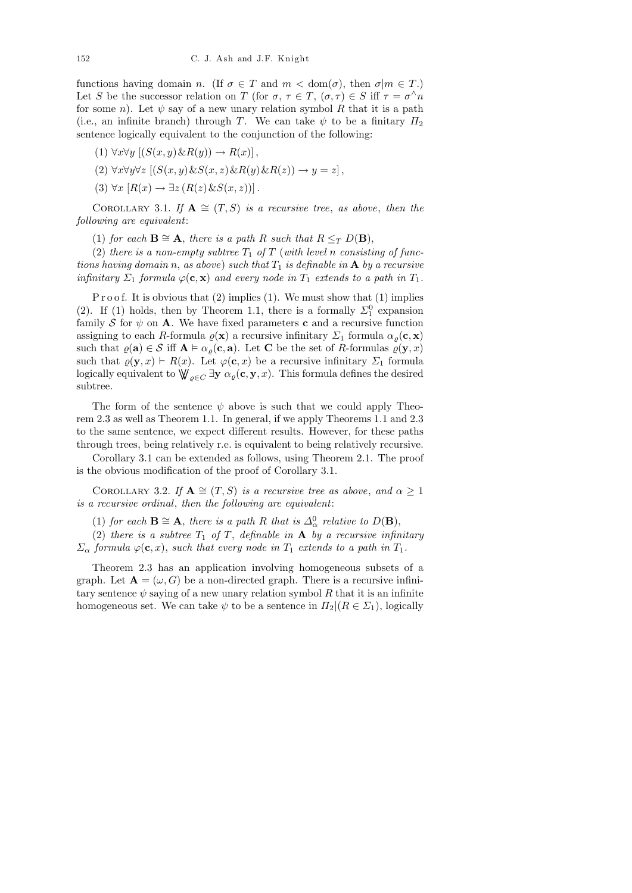functions having domain n. (If  $\sigma \in T$  and  $m < \text{dom}(\sigma)$ , then  $\sigma | m \in T$ .) Let S be the successor relation on T (for  $\sigma, \tau \in T, (\sigma, \tau) \in S$  iff  $\tau = \sigma^{\wedge} n$ for some n). Let  $\psi$  say of a new unary relation symbol R that it is a path (i.e., an infinite branch) through T. We can take  $\psi$  to be a finitary  $\Pi_2$ sentence logically equivalent to the conjunction of the following:

$$
(1) \ \forall x \forall y \ [(S(x, y) \& R(y)) \rightarrow R(x)],
$$

$$
(2) \ \forall x \forall y \forall z \ [(S(x, y) \& S(x, z) \& R(y) \& R(z)) \rightarrow y = z],
$$

(3)  $\forall x [R(x) \rightarrow \exists z (R(z) \& S(x, z))]$ .

COROLLARY 3.1. If  $\mathbf{A} \cong (T, S)$  is a recursive tree, as above, then the following are equivalent:

(1) for each  $\mathbf{B} \cong \mathbf{A}$ , there is a path R such that  $R \leq_T D(\mathbf{B})$ ,

(2) there is a non-empty subtree  $T_1$  of T (with level n consisting of functions having domain n, as above) such that  $T_1$  is definable in **A** by a recursive infinitary  $\Sigma_1$  formula  $\varphi(\mathbf{c}, \mathbf{x})$  and every node in  $T_1$  extends to a path in  $T_1$ .

P r o o f. It is obvious that (2) implies (1). We must show that (1) implies (2). If (1) holds, then by Theorem 1.1, there is a formally  $\Sigma_1^0$  expansion family S for  $\psi$  on A. We have fixed parameters c and a recursive function assigning to each R-formula  $\varrho(\mathbf{x})$  a recursive infinitary  $\Sigma_1$  formula  $\alpha_{\varrho}(\mathbf{c}, \mathbf{x})$ such that  $\varrho(\mathbf{a}) \in \mathcal{S}$  iff  $\mathbf{A} \models \alpha_{\varrho}(\mathbf{c}, \mathbf{a})$ . Let C be the set of R-formulas  $\varrho(\mathbf{y}, x)$ such that  $\varrho(\mathbf{y}, x) \vdash R(x)$ . Let  $\varphi(\mathbf{c}, x)$  be a recursive infinitary  $\Sigma_1$  formula logically equivalent to  $\bigvee_{\varrho \in C} \exists y \alpha_{\varrho}(\mathbf{c}, y, x)$ . This formula defines the desired subtree.

The form of the sentence  $\psi$  above is such that we could apply Theorem 2.3 as well as Theorem 1.1. In general, if we apply Theorems 1.1 and 2.3 to the same sentence, we expect different results. However, for these paths through trees, being relatively r.e. is equivalent to being relatively recursive.

Corollary 3.1 can be extended as follows, using Theorem 2.1. The proof is the obvious modification of the proof of Corollary 3.1.

COROLLARY 3.2. If  $\mathbf{A} \cong (T, S)$  is a recursive tree as above, and  $\alpha \geq 1$ is a recursive ordinal, then the following are equivalent:

(1) for each  $\mathbf{B} \cong \mathbf{A}$ , there is a path R that is  $\Delta_{\alpha}^0$  relative to  $D(\mathbf{B})$ ,

(2) there is a subtree  $T_1$  of T, definable in  $A$  by a recursive infinitary  $\Sigma_{\alpha}$  formula  $\varphi(\mathbf{c},x)$ , such that every node in  $T_1$  extends to a path in  $T_1$ .

Theorem 2.3 has an application involving homogeneous subsets of a graph. Let  $A = (\omega, G)$  be a non-directed graph. There is a recursive infinitary sentence  $\psi$  saying of a new unary relation symbol R that it is an infinite homogeneous set. We can take  $\psi$  to be a sentence in  $\Pi_2 | (R \in \Sigma_1)$ , logically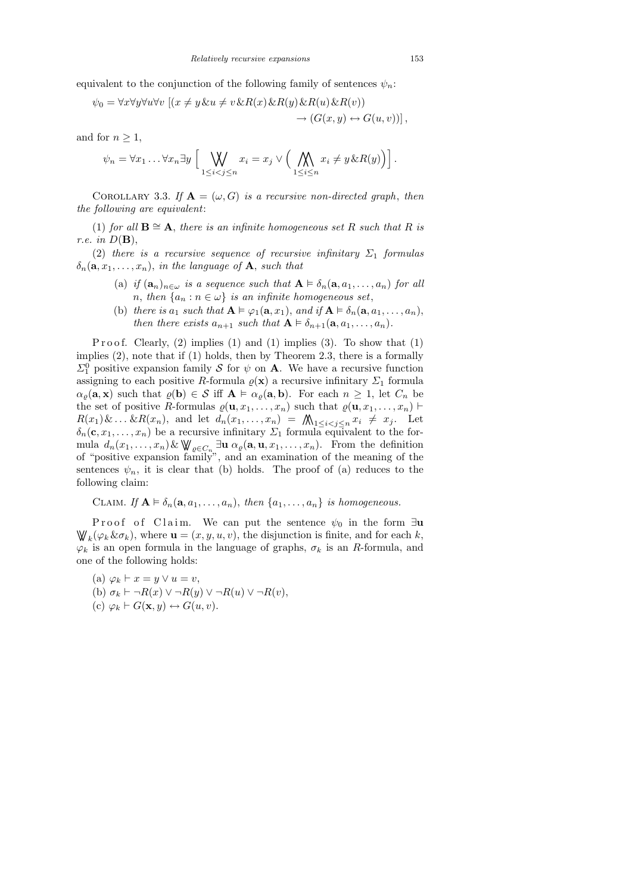equivalent to the conjunction of the following family of sentences  $\psi_n$ .

$$
\psi_0 = \forall x \forall y \forall u \forall v \left[ (x \neq y \& u \neq v \& R(x) \& R(y) \& R(u) \& R(v) \right] \rightarrow (G(x, y) \leftrightarrow G(u, v)) \right],
$$

and for  $n \geq 1$ ,

$$
\psi_n = \forall x_1 \dots \forall x_n \exists y \left[ \bigvee_{1 \leq i < j \leq n} x_i = x_j \vee \left( \bigwedge_{1 \leq i \leq n} x_i \neq y \& R(y) \right) \right].
$$

COROLLARY 3.3. If  $\mathbf{A} = (\omega, G)$  is a recursive non-directed graph, then the following are equivalent:

(1) for all  $\mathbf{B} \cong \mathbf{A}$ , there is an infinite homogeneous set R such that R is r.e. in  $D(\mathbf{B}),$ 

(2) there is a recursive sequence of recursive infinitary  $\Sigma_1$  formulas  $\delta_n(\mathbf{a}, x_1, \ldots, x_n)$ , in the language of **A**, such that

- (a) if  $(a_n)_{n \in \omega}$  is a sequence such that  $A \models \delta_n(a, a_1, \ldots, a_n)$  for all n, then  $\{a_n : n \in \omega\}$  is an infinite homogeneous set,
- (b) there is  $a_1$  such that  $\mathbf{A} \models \varphi_1(\mathbf{a}, x_1)$ , and if  $\mathbf{A} \models \delta_n(\mathbf{a}, a_1, \dots, a_n)$ , then there exists  $a_{n+1}$  such that  $A \models \delta_{n+1}(\mathbf{a}, a_1, \ldots, a_n)$ .

Proof. Clearly,  $(2)$  implies  $(1)$  and  $(1)$  implies  $(3)$ . To show that  $(1)$ implies (2), note that if (1) holds, then by Theorem 2.3, there is a formally  $\Sigma_1^0$  positive expansion family S for  $\psi$  on A. We have a recursive function assigning to each positive R-formula  $\varrho(\mathbf{x})$  a recursive infinitary  $\Sigma_1$  formula  $\alpha_{\varrho}(\mathbf{a}, \mathbf{x})$  such that  $\varrho(\mathbf{b}) \in \mathcal{S}$  iff  $\mathbf{A} \models \alpha_{\varrho}(\mathbf{a}, \mathbf{b})$ . For each  $n \geq 1$ , let  $C_n$  be the set of positive R-formulas  $\varrho(\mathbf{u}, x_1, \ldots, x_n)$  such that  $\varrho(\mathbf{u}, x_1, \ldots, x_n)$  $R(x_1)\&\ldots \&R(x_n)$ , and let  $d_n(x_1,\ldots,x_n) = \bigwedge_{1 \leq i < j \leq n} x_i \neq x_j$ . Let  $\delta_n(\mathbf{c}, x_1, \ldots, x_n)$  be a recursive infinitary  $\Sigma_1$  formula equivalent to the formula  $d_n(x_1,\ldots,x_n)$  &  $\bigvee_{\varrho\in C_n}\exists$ **u**  $\alpha_{\varrho}(\mathbf{a},\mathbf{u},x_1,\ldots,x_n)$ . From the definition of "positive expansion family", and an examination of the meaning of the sentences  $\psi_n$ , it is clear that (b) holds. The proof of (a) reduces to the following claim:

CLAIM. If 
$$
\mathbf{A} \models \delta_n(\mathbf{a}, a_1, \dots, a_n)
$$
, then  $\{a_1, \dots, a_n\}$  is homogeneous.

Proof of Claim. We can put the sentence  $\psi_0$  in the form ∃u  $\mathbb{W}_{k}(\varphi_{k}\&\sigma_{k}),$  where  $\mathbf{u}=(x,y,u,v)$ , the disjunction is finite, and for each k,  $\varphi_k$  is an open formula in the language of graphs,  $\sigma_k$  is an R-formula, and one of the following holds:

- (a)  $\varphi_k \vdash x = y \lor u = v$ ,
- (b)  $\sigma_k \vdash \neg R(x) \vee \neg R(y) \vee \neg R(u) \vee \neg R(v)$ ,
- (c)  $\varphi_k \vdash G(\mathbf{x}, y) \leftrightarrow G(u, v).$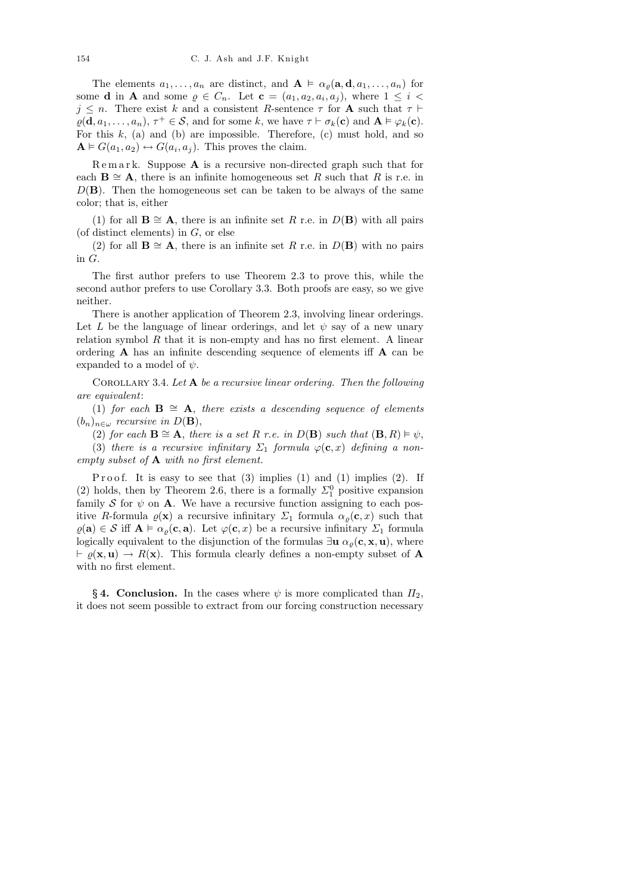The elements  $a_1, \ldots, a_n$  are distinct, and  $\mathbf{A} \models \alpha_{\varrho}(\mathbf{a}, \mathbf{d}, a_1, \ldots, a_n)$  for some **d** in **A** and some  $\varrho \in C_n$ . Let  $\mathbf{c} = (a_1, a_2, a_i, a_j)$ , where  $1 \leq i < j$  $j \leq n$ . There exist k and a consistent R-sentence  $\tau$  for **A** such that  $\tau \vdash$  $\varrho(\mathbf{d}, a_1, \dots, a_n), \tau^+ \in \mathcal{S}$ , and for some k, we have  $\tau \vdash \sigma_k(\mathbf{c})$  and  $\mathbf{A} \models \varphi_k(\mathbf{c})$ . For this  $k$ , (a) and (b) are impossible. Therefore, (c) must hold, and so  $\mathbf{A} \models G(a_1, a_2) \leftrightarrow G(a_i, a_j)$ . This proves the claim.

 $\mathbb R$  e m a r k. Suppose  $\mathbb A$  is a recursive non-directed graph such that for each  $\mathbf{B} \cong \mathbf{A}$ , there is an infinite homogeneous set R such that R is r.e. in  $D(\mathbf{B})$ . Then the homogeneous set can be taken to be always of the same color; that is, either

(1) for all  $\mathbf{B} \cong \mathbf{A}$ , there is an infinite set R r.e. in  $D(\mathbf{B})$  with all pairs (of distinct elements) in  $G$ , or else

(2) for all  $\mathbf{B} \cong \mathbf{A}$ , there is an infinite set R r.e. in  $D(\mathbf{B})$  with no pairs in G.

The first author prefers to use Theorem 2.3 to prove this, while the second author prefers to use Corollary 3.3. Both proofs are easy, so we give neither.

There is another application of Theorem 2.3, involving linear orderings. Let L be the language of linear orderings, and let  $\psi$  say of a new unary relation symbol  $R$  that it is non-empty and has no first element. A linear ordering A has an infinite descending sequence of elements iff A can be expanded to a model of  $\psi$ .

COROLLARY 3.4. Let  $A$  be a recursive linear ordering. Then the following are equivalent:

(1) for each  $\mathbf{B} \cong \mathbf{A}$ , there exists a descending sequence of elements  $(b_n)_{n \in \omega}$  recursive in  $D(\mathbf{B}),$ 

(2) for each  $\mathbf{B} \cong \mathbf{A}$ , there is a set R r.e. in  $D(\mathbf{B})$  such that  $(\mathbf{B}, R) \models \psi$ ,

(3) there is a recursive infinitary  $\Sigma_1$  formula  $\varphi(\mathbf{c},x)$  defining a nonempty subset of A with no first element.

Proof. It is easy to see that  $(3)$  implies  $(1)$  and  $(1)$  implies  $(2)$ . If (2) holds, then by Theorem 2.6, there is a formally  $\Sigma_1^0$  positive expansion family S for  $\psi$  on A. We have a recursive function assigning to each positive R-formula  $\varrho(\mathbf{x})$  a recursive infinitary  $\Sigma_1$  formula  $\alpha_{\rho}(\mathbf{c},x)$  such that  $\rho(\mathbf{a}) \in \mathcal{S}$  iff  $\mathbf{A} \models \alpha_o(\mathbf{c}, \mathbf{a})$ . Let  $\varphi(\mathbf{c}, x)$  be a recursive infinitary  $\Sigma_1$  formula logically equivalent to the disjunction of the formulas  $\exists u \alpha_{\rho}(\mathbf{c}, \mathbf{x}, u)$ , where  $\vdash \varrho(\mathbf{x}, \mathbf{u}) \rightarrow R(\mathbf{x})$ . This formula clearly defines a non-empty subset of A with no first element.

§ 4. Conclusion. In the cases where  $\psi$  is more complicated than  $\Pi_2$ , it does not seem possible to extract from our forcing construction necessary